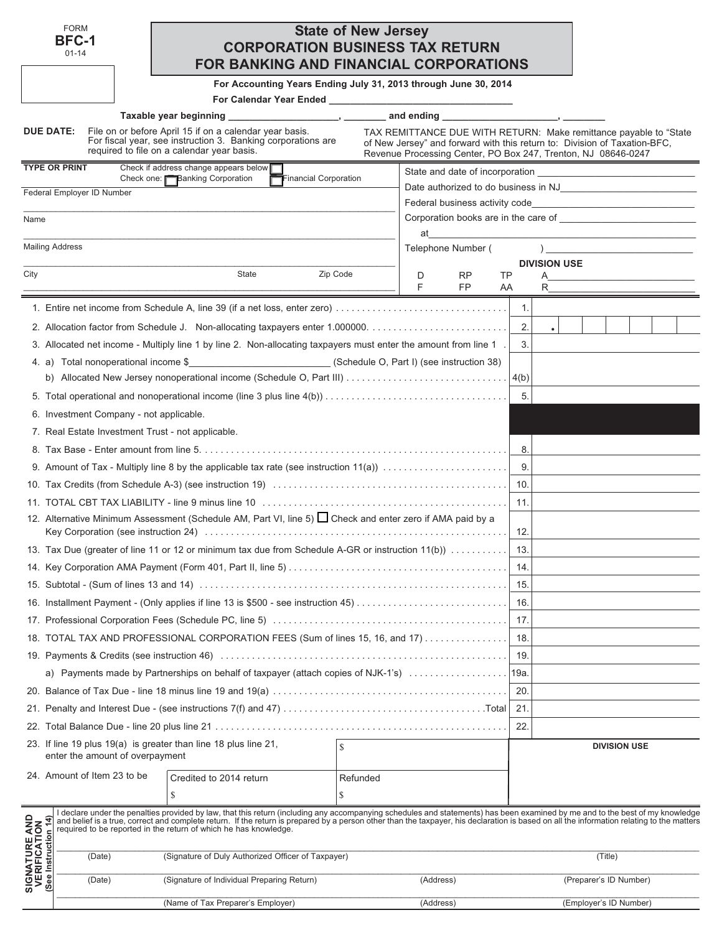|                                                               | <b>FORM</b><br><b>BFC-1</b><br>$01 - 14$                       | FOR BANKING AND FINANCIAL CORPORATIONS                                                                                                                                                                                                                                                                                                                                                                                                         | <b>CORPORATION BUSINESS TAX RETURN</b> | <b>State of New Jersey</b> |                                                                                                                                                                                                                  |                    |    |       |                     |                        |                     |  |  |
|---------------------------------------------------------------|----------------------------------------------------------------|------------------------------------------------------------------------------------------------------------------------------------------------------------------------------------------------------------------------------------------------------------------------------------------------------------------------------------------------------------------------------------------------------------------------------------------------|----------------------------------------|----------------------------|------------------------------------------------------------------------------------------------------------------------------------------------------------------------------------------------------------------|--------------------|----|-------|---------------------|------------------------|---------------------|--|--|
|                                                               |                                                                | For Accounting Years Ending July 31, 2013 through June 30, 2014                                                                                                                                                                                                                                                                                                                                                                                |                                        |                            |                                                                                                                                                                                                                  |                    |    |       |                     |                        |                     |  |  |
|                                                               |                                                                |                                                                                                                                                                                                                                                                                                                                                                                                                                                |                                        |                            |                                                                                                                                                                                                                  |                    |    |       |                     |                        |                     |  |  |
|                                                               |                                                                |                                                                                                                                                                                                                                                                                                                                                                                                                                                |                                        |                            | and ending the set of the set of the set of the set of the set of the set of the set of the set of the set of t                                                                                                  |                    |    |       |                     |                        |                     |  |  |
|                                                               | DUE DATE:                                                      | File on or before April 15 if on a calendar year basis.<br>For fiscal year, see instruction 3. Banking corporations are<br>required to file on a calendar year basis.                                                                                                                                                                                                                                                                          |                                        |                            | TAX REMITTANCE DUE WITH RETURN: Make remittance payable to "State"<br>of New Jersey" and forward with this return to: Division of Taxation-BFC,<br>Revenue Processing Center, PO Box 247, Trenton, NJ 08646-0247 |                    |    |       |                     |                        |                     |  |  |
|                                                               | <b>TYPE OR PRINT</b>                                           | Check if address change appears below $\blacksquare$                                                                                                                                                                                                                                                                                                                                                                                           |                                        |                            |                                                                                                                                                                                                                  |                    |    |       |                     |                        |                     |  |  |
|                                                               | Federal Employer ID Number                                     | Check one: <b>Banking Corporation</b>                                                                                                                                                                                                                                                                                                                                                                                                          | Financial Corporation                  |                            |                                                                                                                                                                                                                  |                    |    |       |                     |                        |                     |  |  |
|                                                               |                                                                |                                                                                                                                                                                                                                                                                                                                                                                                                                                |                                        |                            |                                                                                                                                                                                                                  |                    |    |       |                     |                        |                     |  |  |
| Name                                                          |                                                                |                                                                                                                                                                                                                                                                                                                                                                                                                                                |                                        |                            |                                                                                                                                                                                                                  |                    |    |       |                     |                        |                     |  |  |
|                                                               | <b>Mailing Address</b>                                         |                                                                                                                                                                                                                                                                                                                                                                                                                                                |                                        |                            | at                                                                                                                                                                                                               | Telephone Number ( |    |       |                     |                        |                     |  |  |
|                                                               |                                                                |                                                                                                                                                                                                                                                                                                                                                                                                                                                |                                        |                            |                                                                                                                                                                                                                  |                    |    |       | <b>DIVISION USE</b> |                        |                     |  |  |
| City                                                          |                                                                | State                                                                                                                                                                                                                                                                                                                                                                                                                                          | Zip Code                               |                            | D                                                                                                                                                                                                                | RP                 | TP |       | A                   |                        |                     |  |  |
|                                                               |                                                                |                                                                                                                                                                                                                                                                                                                                                                                                                                                |                                        |                            | F                                                                                                                                                                                                                | FP.                | AA |       | R                   |                        |                     |  |  |
|                                                               |                                                                | 1. Entire net income from Schedule A, line 39 (if a net loss, enter zero)                                                                                                                                                                                                                                                                                                                                                                      |                                        |                            |                                                                                                                                                                                                                  |                    |    | 1.    |                     |                        |                     |  |  |
|                                                               |                                                                |                                                                                                                                                                                                                                                                                                                                                                                                                                                |                                        |                            |                                                                                                                                                                                                                  |                    |    | 2.    |                     |                        |                     |  |  |
|                                                               |                                                                | 3. Allocated net income - Multiply line 1 by line 2. Non-allocating taxpayers must enter the amount from line 1.                                                                                                                                                                                                                                                                                                                               |                                        |                            |                                                                                                                                                                                                                  |                    |    | 3.    |                     |                        |                     |  |  |
|                                                               |                                                                | 4. a) Total nonoperational income \$                                                                                                                                                                                                                                                                                                                                                                                                           |                                        |                            |                                                                                                                                                                                                                  |                    |    |       |                     |                        |                     |  |  |
|                                                               |                                                                |                                                                                                                                                                                                                                                                                                                                                                                                                                                |                                        |                            |                                                                                                                                                                                                                  |                    |    | 5.    |                     |                        |                     |  |  |
|                                                               | 6. Investment Company - not applicable.                        |                                                                                                                                                                                                                                                                                                                                                                                                                                                |                                        |                            |                                                                                                                                                                                                                  |                    |    |       |                     |                        |                     |  |  |
|                                                               |                                                                | 7. Real Estate Investment Trust - not applicable.                                                                                                                                                                                                                                                                                                                                                                                              |                                        |                            |                                                                                                                                                                                                                  |                    |    |       |                     |                        |                     |  |  |
|                                                               |                                                                |                                                                                                                                                                                                                                                                                                                                                                                                                                                |                                        |                            |                                                                                                                                                                                                                  |                    |    | 8.    |                     |                        |                     |  |  |
|                                                               |                                                                |                                                                                                                                                                                                                                                                                                                                                                                                                                                |                                        |                            |                                                                                                                                                                                                                  |                    |    | 9.    |                     |                        |                     |  |  |
|                                                               |                                                                |                                                                                                                                                                                                                                                                                                                                                                                                                                                |                                        |                            |                                                                                                                                                                                                                  |                    |    | 10.   |                     |                        |                     |  |  |
|                                                               |                                                                |                                                                                                                                                                                                                                                                                                                                                                                                                                                |                                        |                            |                                                                                                                                                                                                                  |                    |    | 11.   |                     |                        |                     |  |  |
|                                                               |                                                                | 12. Alternative Minimum Assessment (Schedule AM, Part Ⅵ, line 5) □ Check and enter zero if AMA paid by a                                                                                                                                                                                                                                                                                                                                       |                                        |                            |                                                                                                                                                                                                                  |                    |    |       |                     |                        |                     |  |  |
|                                                               |                                                                |                                                                                                                                                                                                                                                                                                                                                                                                                                                |                                        |                            |                                                                                                                                                                                                                  |                    |    | 12.   |                     |                        |                     |  |  |
|                                                               |                                                                | 13. Tax Due (greater of line 11 or 12 or minimum tax due from Schedule A-GR or instruction 11(b))                                                                                                                                                                                                                                                                                                                                              |                                        |                            |                                                                                                                                                                                                                  |                    |    | 13.   |                     |                        |                     |  |  |
|                                                               |                                                                |                                                                                                                                                                                                                                                                                                                                                                                                                                                |                                        |                            |                                                                                                                                                                                                                  |                    |    | 14.   |                     |                        |                     |  |  |
|                                                               |                                                                |                                                                                                                                                                                                                                                                                                                                                                                                                                                |                                        |                            |                                                                                                                                                                                                                  |                    |    | 15.   |                     |                        |                     |  |  |
|                                                               |                                                                |                                                                                                                                                                                                                                                                                                                                                                                                                                                |                                        |                            |                                                                                                                                                                                                                  |                    |    | 16.   |                     |                        |                     |  |  |
|                                                               |                                                                |                                                                                                                                                                                                                                                                                                                                                                                                                                                |                                        |                            |                                                                                                                                                                                                                  |                    |    | 17.   |                     |                        |                     |  |  |
|                                                               |                                                                | 18. TOTAL TAX AND PROFESSIONAL CORPORATION FEES (Sum of lines 15, 16, and 17)                                                                                                                                                                                                                                                                                                                                                                  |                                        |                            |                                                                                                                                                                                                                  |                    |    | 18.   |                     |                        |                     |  |  |
|                                                               |                                                                |                                                                                                                                                                                                                                                                                                                                                                                                                                                |                                        |                            |                                                                                                                                                                                                                  |                    |    | 19.   |                     |                        |                     |  |  |
|                                                               |                                                                | a) Payments made by Partnerships on behalf of taxpayer (attach copies of NJK-1's)                                                                                                                                                                                                                                                                                                                                                              |                                        |                            |                                                                                                                                                                                                                  |                    |    | ∣19a. |                     |                        |                     |  |  |
|                                                               |                                                                |                                                                                                                                                                                                                                                                                                                                                                                                                                                |                                        |                            |                                                                                                                                                                                                                  |                    |    | 20.   |                     |                        |                     |  |  |
|                                                               |                                                                |                                                                                                                                                                                                                                                                                                                                                                                                                                                |                                        |                            |                                                                                                                                                                                                                  |                    |    | 21.   |                     |                        |                     |  |  |
|                                                               |                                                                |                                                                                                                                                                                                                                                                                                                                                                                                                                                |                                        |                            |                                                                                                                                                                                                                  |                    |    | 22.   |                     |                        |                     |  |  |
|                                                               |                                                                | 23. If line 19 plus 19(a) is greater than line 18 plus line 21,                                                                                                                                                                                                                                                                                                                                                                                |                                        |                            |                                                                                                                                                                                                                  |                    |    |       |                     |                        | <b>DIVISION USE</b> |  |  |
|                                                               | enter the amount of overpayment<br>24. Amount of Item 23 to be |                                                                                                                                                                                                                                                                                                                                                                                                                                                |                                        |                            |                                                                                                                                                                                                                  |                    |    |       |                     |                        |                     |  |  |
|                                                               |                                                                | Credited to 2014 return<br>\$                                                                                                                                                                                                                                                                                                                                                                                                                  |                                        | Refunded<br>\$             |                                                                                                                                                                                                                  |                    |    |       |                     |                        |                     |  |  |
| <b>SIGNATURE AND<br/>VERIFICATION</b><br>(See Instruction 14) |                                                                | I declare under the penalties provided by law, that this return (including any accompanying schedules and statements) has been examined by me and to the best of my knowledge<br>and belief is a true, correct and complete return. If the return is prepared by a person other than the taxpayer, his declaration is based on all the information relating to the matters<br>required to be reported in the return of which he has knowledge. |                                        |                            |                                                                                                                                                                                                                  |                    |    |       |                     |                        |                     |  |  |
|                                                               | (Date)                                                         | (Signature of Duly Authorized Officer of Taxpayer)                                                                                                                                                                                                                                                                                                                                                                                             |                                        |                            |                                                                                                                                                                                                                  |                    |    |       |                     |                        | (Title)             |  |  |
|                                                               | (Date)                                                         | (Signature of Individual Preparing Return)                                                                                                                                                                                                                                                                                                                                                                                                     |                                        |                            | (Address)                                                                                                                                                                                                        |                    |    |       |                     | (Preparer's ID Number) |                     |  |  |

| (Nam<br>-<br>гı A | <b>Adracc</b><br>. | Numbel<br>$\overline{\mathbf{v}}$ |
|-------------------|--------------------|-----------------------------------|
|                   |                    |                                   |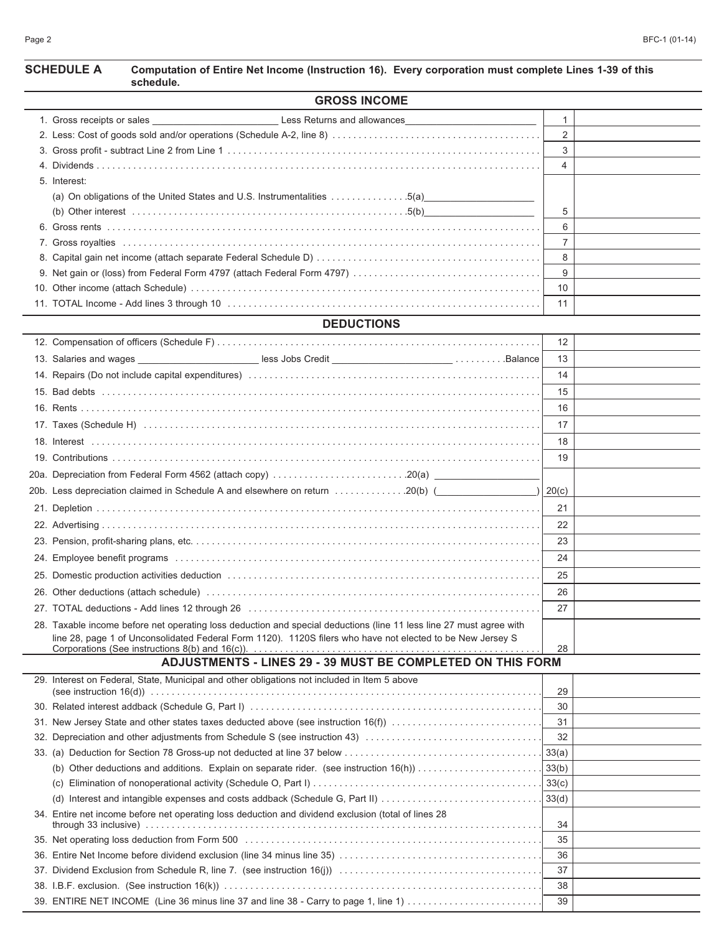| <b>SCHEDULE A</b> | Computation of Entire Net Income (Instruction 16). Every corporation must complete Lines 1-39 of this<br>schedule. |
|-------------------|--------------------------------------------------------------------------------------------------------------------|
|                   | CDOCC INCOME                                                                                                       |

| <b>GRUSS INCOME</b> |                                                                         |                       |  |  |  |  |
|---------------------|-------------------------------------------------------------------------|-----------------------|--|--|--|--|
|                     |                                                                         |                       |  |  |  |  |
|                     |                                                                         |                       |  |  |  |  |
|                     |                                                                         |                       |  |  |  |  |
|                     |                                                                         | $\boldsymbol{\Delta}$ |  |  |  |  |
| 5. Interest:        |                                                                         |                       |  |  |  |  |
|                     | (a) On obligations of the United States and U.S. Instrumentalities 5(a) |                       |  |  |  |  |
|                     |                                                                         | 5                     |  |  |  |  |
|                     |                                                                         | 6                     |  |  |  |  |
|                     |                                                                         |                       |  |  |  |  |
|                     |                                                                         | 8                     |  |  |  |  |
|                     |                                                                         | 9                     |  |  |  |  |
|                     |                                                                         | 10                    |  |  |  |  |
|                     |                                                                         | 11                    |  |  |  |  |
|                     |                                                                         |                       |  |  |  |  |

## **DEDUCTIONS**

|                                                                                                                     | $12 \overline{ }$ |  |
|---------------------------------------------------------------------------------------------------------------------|-------------------|--|
| 13. Salaries and wages _____________________________less Jobs Credit ___________________________Balance             | 13                |  |
|                                                                                                                     | 14                |  |
|                                                                                                                     | 15                |  |
|                                                                                                                     | 16                |  |
|                                                                                                                     | 17                |  |
|                                                                                                                     | 18                |  |
|                                                                                                                     | 19                |  |
| 20a.  Depreciation from Federal Form 4562 (attach copy) .....................20(a) ________________                 |                   |  |
|                                                                                                                     | 20(c)             |  |
|                                                                                                                     | 21                |  |
|                                                                                                                     | 22                |  |
|                                                                                                                     | 23                |  |
|                                                                                                                     | 24                |  |
|                                                                                                                     | 25                |  |
|                                                                                                                     | 26                |  |
|                                                                                                                     | 27                |  |
| 28. Taxable income before net operating loss deduction and special deductions (line 11 less line 27 must agree with |                   |  |
| line 28, page 1 of Unconsolidated Federal Form 1120). 1120S filers who have not elected to be New Jersey S          | 28                |  |
| ADJUSTMENTS - LINES 29 - 39 MUST BE COMPLETED ON THIS FORM                                                          |                   |  |
|                                                                                                                     |                   |  |

| 29. Interest on Federal, State, Municipal and other obligations not included in Item 5 above        |    |  |
|-----------------------------------------------------------------------------------------------------|----|--|
|                                                                                                     | 29 |  |
|                                                                                                     | 30 |  |
| 31. New Jersey State and other states taxes deducted above (see instruction 16(f))                  | 31 |  |
| 32. Depreciation and other adjustments from Schedule S (see instruction 43)                         | 32 |  |
|                                                                                                     |    |  |
| (b) Other deductions and additions. Explain on separate rider. (see instruction $16(h)$ ) 33(b)     |    |  |
| (C)                                                                                                 |    |  |
|                                                                                                     |    |  |
| 34. Entire net income before net operating loss deduction and dividend exclusion (total of lines 28 | 34 |  |
|                                                                                                     | 35 |  |
|                                                                                                     | 36 |  |
|                                                                                                     | 37 |  |
|                                                                                                     | 38 |  |
| 39. ENTIRE NET INCOME (Line 36 minus line 37 and line 38 - Carry to page 1, line 1)                 | 39 |  |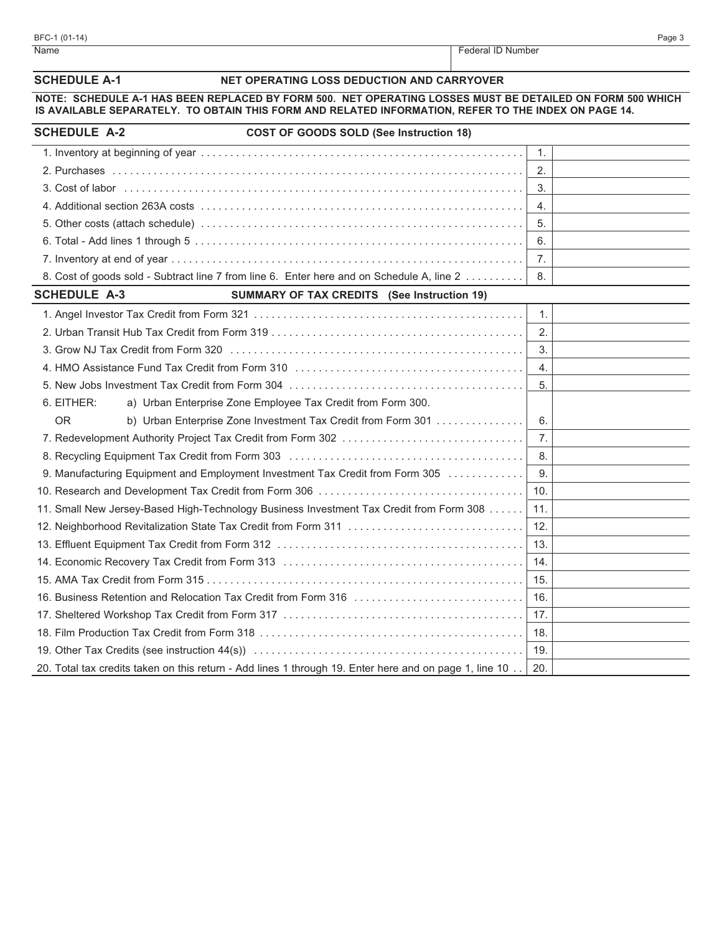| Name                                                                                                                                                                                                              | Federal ID Number                          |
|-------------------------------------------------------------------------------------------------------------------------------------------------------------------------------------------------------------------|--------------------------------------------|
| <b>SCHEDULE A-1</b>                                                                                                                                                                                               | NET OPERATING LOSS DEDUCTION AND CARRYOVER |
| NOTE: SCHEDULE A-1 HAS BEEN REPLACED BY FORM 500. NET OPERATING LOSSES MUST BE DETAILED ON FORM 500 WHICH<br>IS AVAILABLE SEPARATELY. TO OBTAIN THIS FORM AND RELATED INFORMATION, REFER TO THE INDEX ON PAGE 14. |                                            |
| <b>SCHEDULE A-2</b><br><b>COST OF GOODS SOLD (See Instruction 18)</b>                                                                                                                                             |                                            |
|                                                                                                                                                                                                                   | 1.                                         |
|                                                                                                                                                                                                                   | 2.                                         |
|                                                                                                                                                                                                                   | 3.                                         |
|                                                                                                                                                                                                                   | 4.                                         |
|                                                                                                                                                                                                                   | 5.                                         |
|                                                                                                                                                                                                                   | 6.                                         |
|                                                                                                                                                                                                                   | 7.                                         |
| 8. Cost of goods sold - Subtract line 7 from line 6. Enter here and on Schedule A, line 2                                                                                                                         | 8.                                         |
| <b>SCHEDULE A-3</b><br><b>SUMMARY OF TAX CREDITS</b> (See Instruction 19)                                                                                                                                         |                                            |
|                                                                                                                                                                                                                   | 1.                                         |
|                                                                                                                                                                                                                   | 2.                                         |
|                                                                                                                                                                                                                   | 3.                                         |
|                                                                                                                                                                                                                   | 4.                                         |
|                                                                                                                                                                                                                   | 5.                                         |
| 6. EITHER:<br>a) Urban Enterprise Zone Employee Tax Credit from Form 300.                                                                                                                                         |                                            |
| <b>OR</b><br>b) Urban Enterprise Zone Investment Tax Credit from Form 301                                                                                                                                         | 6.                                         |
| 7. Redevelopment Authority Project Tax Credit from Form 302                                                                                                                                                       | $\overline{7}$ .                           |
|                                                                                                                                                                                                                   | 8.                                         |
| 9. Manufacturing Equipment and Employment Investment Tax Credit from Form 305                                                                                                                                     | 9.                                         |
|                                                                                                                                                                                                                   | 10.                                        |
| 11. Small New Jersey-Based High-Technology Business Investment Tax Credit from Form 308                                                                                                                           | 11.                                        |
|                                                                                                                                                                                                                   | 12.                                        |
|                                                                                                                                                                                                                   | 13.                                        |
|                                                                                                                                                                                                                   | 14.                                        |
|                                                                                                                                                                                                                   | 15.                                        |
|                                                                                                                                                                                                                   | 16.                                        |
|                                                                                                                                                                                                                   | 17.                                        |
|                                                                                                                                                                                                                   | 18.                                        |
|                                                                                                                                                                                                                   | 19.                                        |

20. Total tax credits taken on this return - Add lines 1 through 19. Enter here and on page 1, line 10  $\ldots$  20.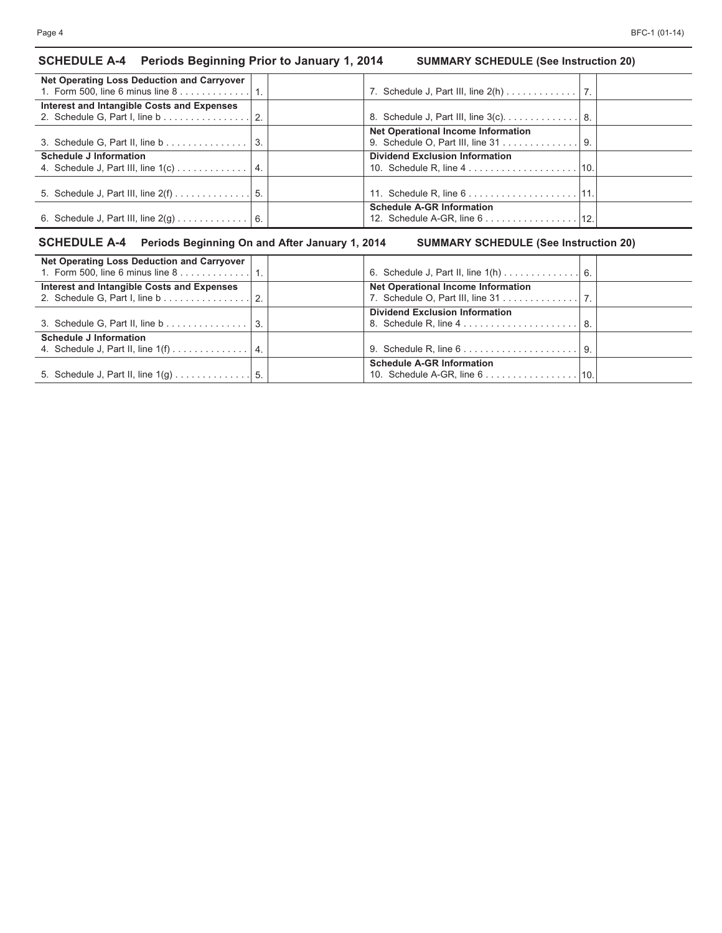# **SCHEDULE A-4 Periods Beginning Prior to January 1, 2014 SUMMARY SCHEDULE (See Instruction 20)**

| <b>Net Operating Loss Deduction and Carryover</b>              |                                                                      |  |
|----------------------------------------------------------------|----------------------------------------------------------------------|--|
| 1. Form 500, line 6 minus line $8 \ldots 1 \ldots 1 \ldots$ 1. |                                                                      |  |
| Interest and Intangible Costs and Expenses                     |                                                                      |  |
|                                                                | 8. Schedule J, Part III, line 3(c). 8.                               |  |
|                                                                | <b>Net Operational Income Information</b>                            |  |
| 3. Schedule G, Part II, line b 3.                              | 9. Schedule O, Part III, line 31 9.                                  |  |
| <b>Schedule J Information</b>                                  | <b>Dividend Exclusion Information</b>                                |  |
|                                                                |                                                                      |  |
|                                                                |                                                                      |  |
|                                                                |                                                                      |  |
|                                                                | <b>Schedule A-GR Information</b>                                     |  |
|                                                                | 12. Schedule A-GR, line $6 \ldots \ldots \ldots \ldots \ldots$   12. |  |
|                                                                |                                                                      |  |

# **SCHEDULE A-4 Periods Beginning On and After January 1, 2014 SUMMARY SCHEDULE (See Instruction 20)**

| Net Operating Loss Deduction and Carryover            |                                                                  |     |
|-------------------------------------------------------|------------------------------------------------------------------|-----|
| 1. Form 500, line 6 minus line $8, \ldots, \ldots, 1$ |                                                                  |     |
| Interest and Intangible Costs and Expenses            | <b>Net Operational Income Information</b>                        |     |
|                                                       | 7. Schedule O, Part III, line 31 7.                              |     |
|                                                       | <b>Dividend Exclusion Information</b>                            |     |
| 3. Schedule G, Part II, line $b$                      |                                                                  | -8. |
| <b>Schedule J Information</b>                         |                                                                  |     |
| 4. Schedule J, Part II, line $1(f)$                   | 9. Schedule R, line $6 \ldots \ldots \ldots \ldots \ldots$       | 9.  |
|                                                       | <b>Schedule A-GR Information</b>                                 |     |
|                                                       | 10. Schedule A-GR, line $6 \ldots \ldots \ldots \ldots \ldots$ . |     |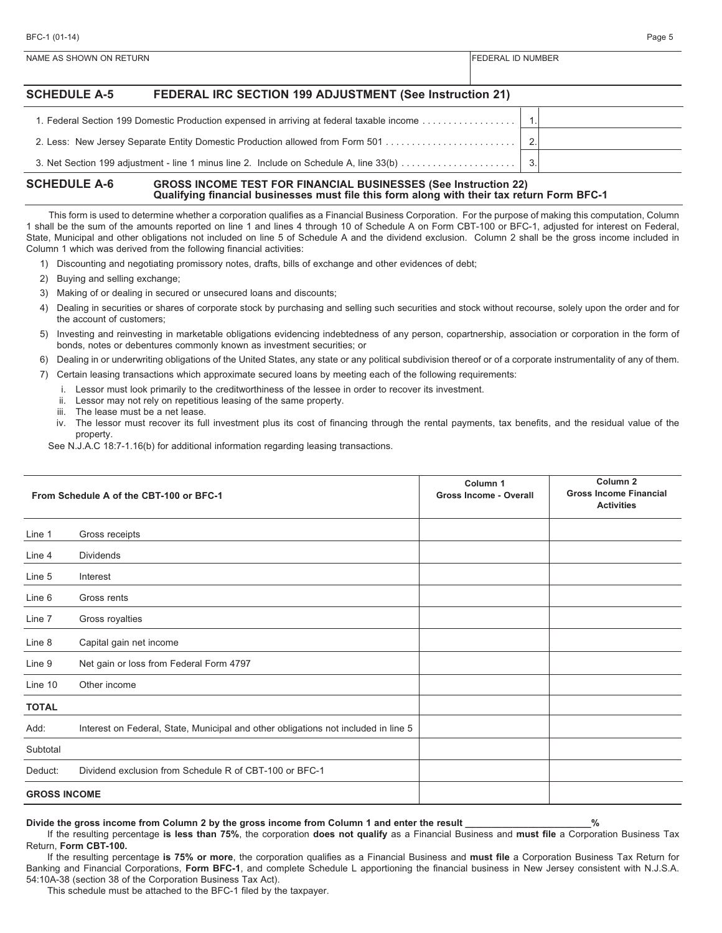| <b>SCHEDULE A-5</b> | FEDERAL IRC SECTION 199 ADJUSTMENT (See Instruction 21)                                   |    |  |
|---------------------|-------------------------------------------------------------------------------------------|----|--|
|                     | 1. Federal Section 199 Domestic Production expensed in arriving at federal taxable income |    |  |
|                     |                                                                                           | -2 |  |
|                     | 3. Net Section 199 adjustment - line 1 minus line 2. Include on Schedule A, line 33(b)    | 3  |  |

#### **SCHEDULE A-6 GROSS INCOME TEST FOR FINANCIAL BUSINESSES (See Instruction 22) Qualifying financial businesses must file this form along with their tax return Form BFC-1**

NAME AS SHOWN ON RETURN FEDERAL ID NUMBER

This form is used to determine whether a corporation qualifies as a Financial Business Corporation. For the purpose of making this computation, Column 1 shall be the sum of the amounts reported on line 1 and lines 4 through 10 of Schedule A on Form CBT-100 or BFC-1, adjusted for interest on Federal, State, Municipal and other obligations not included on line 5 of Schedule A and the dividend exclusion. Column 2 shall be the gross income included in Column 1 which was derived from the following financial activities:

- 1) Discounting and negotiating promissory notes, drafts, bills of exchange and other evidences of debt;
- 2) Buying and selling exchange;
- 3) Making of or dealing in secured or unsecured loans and discounts;
- 4) Dealing in securities or shares of corporate stock by purchasing and selling such securities and stock without recourse, solely upon the order and for the account of customers;
- 5) Investing and reinvesting in marketable obligations evidencing indebtedness of any person, copartnership, association or corporation in the form of bonds, notes or debentures commonly known as investment securities; or
- 6) Dealing in or underwriting obligations of the United States, any state or any political subdivision thereof or of a corporate instrumentality of any of them.
- 7) Certain leasing transactions which approximate secured loans by meeting each of the following requirements:
	- i. Lessor must look primarily to the creditworthiness of the lessee in order to recover its investment.
	- ii. Lessor may not rely on repetitious leasing of the same property.
	- iii. The lease must be a net lease.
	- iv. The lessor must recover its full investment plus its cost of financing through the rental payments, tax benefits, and the residual value of the property.

See N.J.A.C 18:7-1.16(b) for additional information regarding leasing transactions.

|                     | From Schedule A of the CBT-100 or BFC-1                                            | Column <sub>1</sub><br><b>Gross Income - Overall</b> | Column <sub>2</sub><br><b>Gross Income Financial</b><br><b>Activities</b> |
|---------------------|------------------------------------------------------------------------------------|------------------------------------------------------|---------------------------------------------------------------------------|
| Line 1              | Gross receipts                                                                     |                                                      |                                                                           |
| Line 4              | <b>Dividends</b>                                                                   |                                                      |                                                                           |
| Line 5              | Interest                                                                           |                                                      |                                                                           |
| Line 6              | Gross rents                                                                        |                                                      |                                                                           |
| Line 7              | Gross royalties                                                                    |                                                      |                                                                           |
| Line 8              | Capital gain net income                                                            |                                                      |                                                                           |
| Line 9              | Net gain or loss from Federal Form 4797                                            |                                                      |                                                                           |
| Line 10             | Other income                                                                       |                                                      |                                                                           |
| <b>TOTAL</b>        |                                                                                    |                                                      |                                                                           |
| Add:                | Interest on Federal, State, Municipal and other obligations not included in line 5 |                                                      |                                                                           |
| Subtotal            |                                                                                    |                                                      |                                                                           |
| Deduct:             | Dividend exclusion from Schedule R of CBT-100 or BFC-1                             |                                                      |                                                                           |
| <b>GROSS INCOME</b> |                                                                                    |                                                      |                                                                           |

**Divide the gross income from Column 2 by the gross income from Column 1 and enter the result \_\_\_\_\_\_\_\_\_\_\_\_\_\_\_\_\_\_\_\_\_\_\_\_%**

If the resulting percentage **is less than 75%**, the corporation **does not qualify** as a Financial Business and **must file** a Corporation Business Tax Return, **Form CBT-100.**

If the resulting percentage **is 75% or more**, the corporation qualifies as a Financial Business and **must file** a Corporation Business Tax Return for Banking and Financial Corporations, **Form BFC-1**, and complete Schedule L apportioning the financial business in New Jersey consistent with N.J.S.A. 54:10A-38 (section 38 of the Corporation Business Tax Act).

This schedule must be attached to the BFC-1 filed by the taxpayer.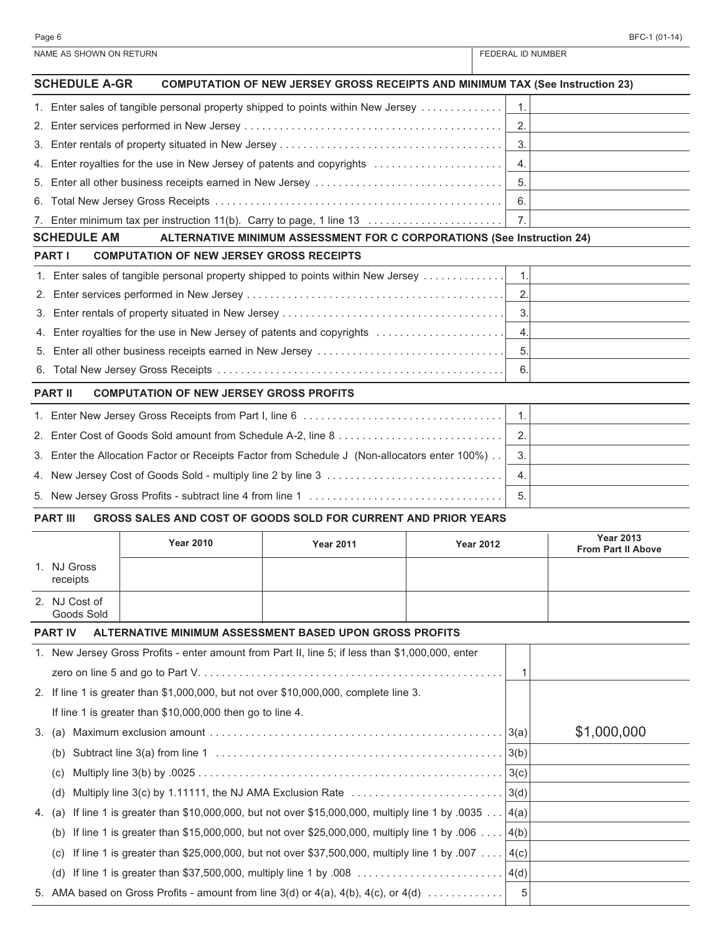| BFC-1 (01-14) |  |  |  |  |  |  |  |  |  |  |  |  |  |  |  |  |  |  |  |  |  |  |  |  |  |  |  |  |  |  |  |  |  |  |  |  |  |  |  |  |  |  |  |  |  |  |  |  |  |  |  |  |  |  |  |  |  |  |  |  |  |  |  |  |  |  |  |  |  |  |  |  |  |
|---------------|--|--|--|--|--|--|--|--|--|--|--|--|--|--|--|--|--|--|--|--|--|--|--|--|--|--|--|--|--|--|--|--|--|--|--|--|--|--|--|--|--|--|--|--|--|--|--|--|--|--|--|--|--|--|--|--|--|--|--|--|--|--|--|--|--|--|--|--|--|--|--|--|--|
|               |  |  |  |  |  |  |  |  |  |  |  |  |  |  |  |  |  |  |  |  |  |  |  |  |  |  |  |  |  |  |  |  |  |  |  |  |  |  |  |  |  |  |  |  |  |  |  |  |  |  |  |  |  |  |  |  |  |  |  |  |  |  |  |  |  |  |  |  |  |  |  |  |  |

|                 | NAME AS SHOWN ON RETURN     |                                                           |                                                                                                                              |                  |                  | FEDERAL ID NUMBER         |
|-----------------|-----------------------------|-----------------------------------------------------------|------------------------------------------------------------------------------------------------------------------------------|------------------|------------------|---------------------------|
|                 | <b>SCHEDULE A-GR</b>        |                                                           | <b>COMPUTATION OF NEW JERSEY GROSS RECEIPTS AND MINIMUM TAX (See Instruction 23)</b>                                         |                  |                  |                           |
|                 |                             |                                                           | 1. Enter sales of tangible personal property shipped to points within New Jersey                                             |                  | 1 <sub>1</sub>   |                           |
| 2.              |                             |                                                           |                                                                                                                              |                  | 2.               |                           |
| 3.              |                             |                                                           |                                                                                                                              |                  | 3.               |                           |
| 4.              |                             |                                                           | Enter royalties for the use in New Jersey of patents and copyrights                                                          |                  | 4.               |                           |
| 5.              |                             |                                                           |                                                                                                                              |                  | 5.               |                           |
| 6.              |                             |                                                           |                                                                                                                              |                  | 6.               |                           |
| $\mathcal{L}$ . |                             |                                                           |                                                                                                                              |                  | 7.               |                           |
|                 | <b>SCHEDULE AM</b>          |                                                           | ALTERNATIVE MINIMUM ASSESSMENT FOR C CORPORATIONS (See Instruction 24)                                                       |                  |                  |                           |
|                 | <b>PART I</b>               | <b>COMPUTATION OF NEW JERSEY GROSS RECEIPTS</b>           |                                                                                                                              |                  |                  |                           |
|                 |                             |                                                           | 1. Enter sales of tangible personal property shipped to points within New Jersey                                             |                  | $\mathbf 1$ .    |                           |
| 2.              |                             |                                                           |                                                                                                                              |                  | 2.               |                           |
| 3.              |                             |                                                           |                                                                                                                              |                  | 3.               |                           |
| 4.              |                             |                                                           | Enter royalties for the use in New Jersey of patents and copyrights                                                          |                  | $\overline{4}$ . |                           |
| 5.              |                             |                                                           | Enter all other business receipts earned in New Jersey                                                                       |                  | 5.               |                           |
| 6.              |                             |                                                           |                                                                                                                              |                  | 6.               |                           |
|                 | <b>PART II</b>              | <b>COMPUTATION OF NEW JERSEY GROSS PROFITS</b>            |                                                                                                                              |                  |                  |                           |
|                 |                             |                                                           |                                                                                                                              |                  | 1.               |                           |
| 2.              |                             |                                                           |                                                                                                                              |                  | 2.               |                           |
| 3.              |                             |                                                           | Enter the Allocation Factor or Receipts Factor from Schedule J (Non-allocators enter 100%)                                   |                  | 3.               |                           |
| 4.              |                             |                                                           |                                                                                                                              |                  | 4.               |                           |
| 5.              |                             |                                                           |                                                                                                                              |                  | 5.               |                           |
|                 | <b>PART III</b>             |                                                           | GROSS SALES AND COST OF GOODS SOLD FOR CURRENT AND PRIOR YEARS                                                               |                  |                  |                           |
|                 |                             |                                                           |                                                                                                                              |                  |                  | <b>Year 2013</b>          |
|                 |                             | <b>Year 2010</b>                                          | <b>Year 2011</b>                                                                                                             | <b>Year 2012</b> |                  | <b>From Part II Above</b> |
|                 | 1. NJ Gross<br>receipts     |                                                           |                                                                                                                              |                  |                  |                           |
|                 | 2. NJ Cost of<br>Goods Sold |                                                           |                                                                                                                              |                  |                  |                           |
|                 | <b>PART IV</b>              |                                                           | ALTERNATIVE MINIMUM ASSESSMENT BASED UPON GROSS PROFITS                                                                      |                  |                  |                           |
|                 |                             |                                                           | 1. New Jersey Gross Profits - enter amount from Part II, line 5; if less than \$1,000,000, enter                             |                  |                  |                           |
|                 |                             |                                                           |                                                                                                                              |                  | 1                |                           |
|                 |                             |                                                           | 2. If line 1 is greater than \$1,000,000, but not over \$10,000,000, complete line 3.                                        |                  |                  |                           |
|                 |                             | If line 1 is greater than \$10,000,000 then go to line 4. |                                                                                                                              |                  |                  |                           |
| 3.              | (a)                         |                                                           | Maximum exclusion amount $\dots\dots\dots\dots\dots\dots\dots\dots\dots\dots\dots\dots\dots\dots\dots\dots\dots\ldots$       |                  |                  | \$1,000,000               |
|                 | (b)                         |                                                           |                                                                                                                              |                  |                  |                           |
|                 | (C)                         |                                                           |                                                                                                                              |                  | 3(c)             |                           |
|                 | (d)                         |                                                           |                                                                                                                              |                  |                  |                           |
|                 |                             |                                                           | Multiply line 3(c) by 1.11111, the NJ AMA Exclusion Rate $\ldots \ldots \ldots \ldots \ldots \ldots \ldots \ldots \mid 3(d)$ |                  |                  |                           |
| 4.              | (a)                         |                                                           | If line 1 is greater than \$10,000,000, but not over \$15,000,000, multiply line 1 by .0035 $ 4(a)$                          |                  |                  |                           |
|                 | (b)                         |                                                           | If line 1 is greater than \$15,000,000, but not over \$25,000,000, multiply line 1 by .006                                   |                  | 4(b)             |                           |
|                 | (C)                         |                                                           | If line 1 is greater than \$25,000,000, but not over \$37,500,000, multiply line 1 by .007 $\dots$                           |                  | 4(c)             |                           |
|                 | (d)                         |                                                           |                                                                                                                              |                  | 4(d)             |                           |

5. AMA based on Gross Profits - amount from line 3(d) or 4(a), 4(b), 4(c), or 4(d) . . . . . . . . . . . . . 5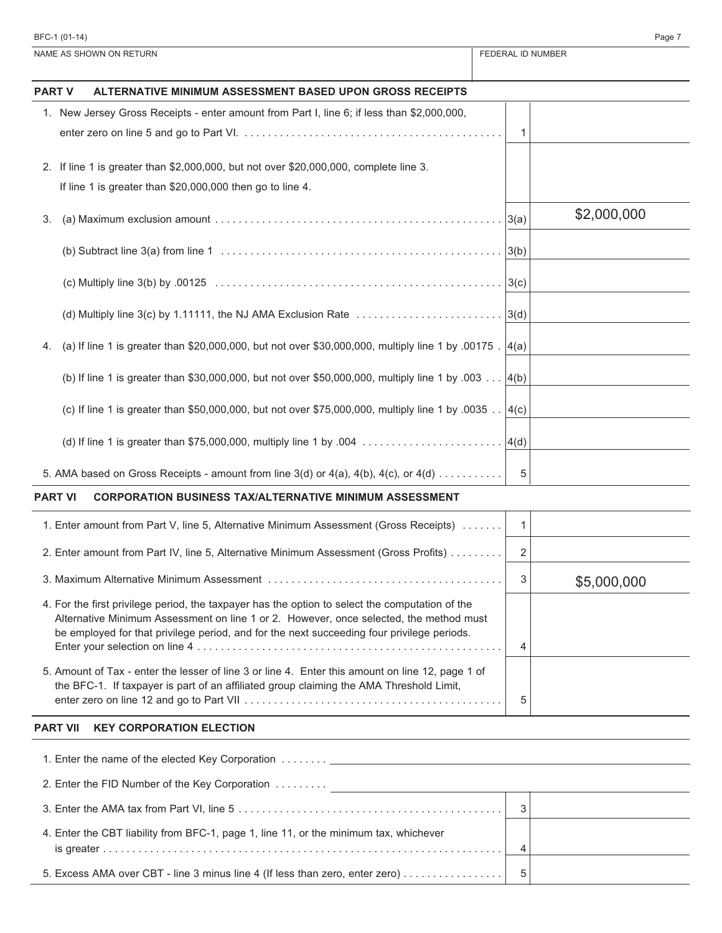| BFC-1 (01-14)                                                                                           |                   | Page 7      |
|---------------------------------------------------------------------------------------------------------|-------------------|-------------|
| NAME AS SHOWN ON RETURN                                                                                 | FEDERAL ID NUMBER |             |
| ALTERNATIVE MINIMUM ASSESSMENT BASED UPON GROSS RECEIPTS<br><b>PART V</b>                               |                   |             |
| 1. New Jersey Gross Receipts - enter amount from Part I, line 6; if less than \$2,000,000,              |                   |             |
|                                                                                                         | 1                 |             |
| 2. If line 1 is greater than \$2,000,000, but not over \$20,000,000, complete line 3.                   |                   |             |
| If line 1 is greater than \$20,000,000 then go to line 4.                                               |                   |             |
| 3.                                                                                                      | 3(a)              | \$2,000,000 |
|                                                                                                         | 3(b)              |             |
|                                                                                                         | 3(c)              |             |
| (d) Multiply line 3(c) by 1.11111, the NJ AMA Exclusion Rate                                            | 3(d)              |             |
| (a) If line 1 is greater than \$20,000,000, but not over \$30,000,000, multiply line 1 by .00175.<br>4. | 4(a)              |             |
| (b) If line 1 is greater than \$30,000,000, but not over \$50,000,000, multiply line 1 by .003          | 4(b)              |             |
| (c) If line 1 is greater than \$50,000,000, but not over \$75,000,000, multiply line 1 by .0035         | 4(c)              |             |
| (d) If line 1 is greater than \$75,000,000, multiply line 1 by .004                                     | 4(d)              |             |
| 5. AMA based on Gross Receipts - amount from line $3(d)$ or $4(a)$ , $4(b)$ , $4(c)$ , or $4(d)$        | 5                 |             |
| <b>PART VI</b><br><b>CORPORATION BUSINESS TAX/ALTERNATIVE MINIMUM ASSESSMENT</b>                        |                   |             |
| 1. Enter amount from Part V, line 5, Alternative Minimum Assessment (Gross Receipts)                    | $\mathbf{1}$      |             |
| 2. Enter amount from Part IV, line 5, Alternative Minimum Assessment (Gross Profits)                    | $\overline{2}$    |             |
|                                                                                                         | 3                 | \$5,000,000 |
| 1. Ear the first privilege period, the tevnouse hee the entire to select the computation of the         |                   |             |

| 4. For the first privilege period, the taxpayer has the option to select the computation of the<br>Alternative Minimum Assessment on line 1 or 2. However, once selected, the method must<br>be employed for that privilege period, and for the next succeeding four privilege periods. |  |
|-----------------------------------------------------------------------------------------------------------------------------------------------------------------------------------------------------------------------------------------------------------------------------------------|--|
|                                                                                                                                                                                                                                                                                         |  |
| 5. Amount of Tax - enter the lesser of line 3 or line 4. Enter this amount on line 12, page 1 of<br>the BFC-1. If taxpayer is part of an affiliated group claiming the AMA Threshold Limit,                                                                                             |  |

### **PART VII KEY CORPORATION ELECTION**

| 2. Enter the FID Number of the Key Corporation                                        |  |
|---------------------------------------------------------------------------------------|--|
|                                                                                       |  |
| 4. Enter the CBT liability from BFC-1, page 1, line 11, or the minimum tax, whichever |  |
| 5. Excess AMA over CBT - line 3 minus line 4 (If less than zero, enter zero)          |  |

 $\overline{a}$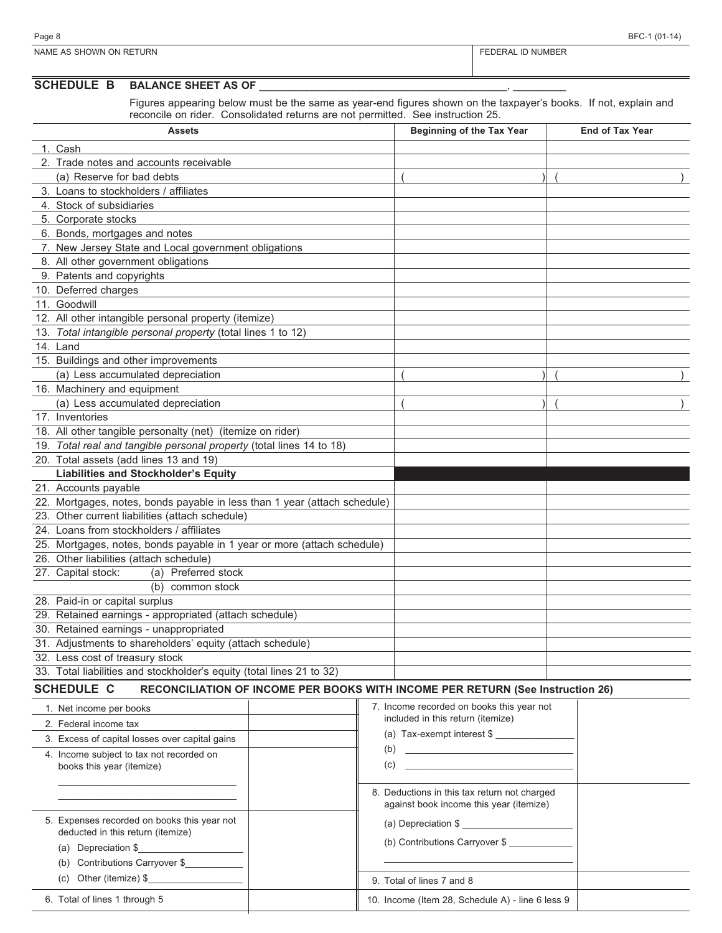| Page &                                                                                                          | $\sqrt{2}$ |
|-----------------------------------------------------------------------------------------------------------------|------------|
| ON RETURN                                                                                                       | `IMBE∟     |
| <b>NAME</b>                                                                                                     | NU         |
| SHOWN                                                                                                           | .          |
| the contract of the contract of the contract of the contract of the contract of the contract of the contract of |            |

### **SCHEDULE B BALANCE SHEET AS OF**

Figures appearing below must be the same as year-end figures shown on the taxpayer's books. If not, explain and reconcile on rider. Consolidated returns are not permitted. See instruction 25.

| <b>Assets</b>                                                                                       | <b>Beginning of the Tax Year</b> | <b>End of Tax Year</b> |
|-----------------------------------------------------------------------------------------------------|----------------------------------|------------------------|
| 1. Cash                                                                                             |                                  |                        |
| 2. Trade notes and accounts receivable                                                              |                                  |                        |
| (a) Reserve for bad debts                                                                           |                                  |                        |
| 3. Loans to stockholders / affiliates                                                               |                                  |                        |
| 4. Stock of subsidiaries                                                                            |                                  |                        |
| 5. Corporate stocks                                                                                 |                                  |                        |
| 6. Bonds, mortgages and notes                                                                       |                                  |                        |
| 7. New Jersey State and Local government obligations                                                |                                  |                        |
| 8. All other government obligations                                                                 |                                  |                        |
| 9. Patents and copyrights                                                                           |                                  |                        |
| 10. Deferred charges                                                                                |                                  |                        |
| 11. Goodwill                                                                                        |                                  |                        |
| 12. All other intangible personal property (itemize)                                                |                                  |                        |
| 13. Total intangible personal property (total lines 1 to 12)                                        |                                  |                        |
| 14. Land                                                                                            |                                  |                        |
| 15. Buildings and other improvements                                                                |                                  |                        |
| (a) Less accumulated depreciation                                                                   |                                  |                        |
| 16. Machinery and equipment                                                                         |                                  |                        |
| (a) Less accumulated depreciation                                                                   |                                  |                        |
| 17. Inventories                                                                                     |                                  |                        |
| 18. All other tangible personalty (net) (itemize on rider)                                          |                                  |                        |
| 19. Total real and tangible personal property (total lines 14 to 18)                                |                                  |                        |
| 20. Total assets (add lines 13 and 19)                                                              |                                  |                        |
| <b>Liabilities and Stockholder's Equity</b>                                                         |                                  |                        |
| 21. Accounts payable                                                                                |                                  |                        |
| 22. Mortgages, notes, bonds payable in less than 1 year (attach schedule)                           |                                  |                        |
| 23. Other current liabilities (attach schedule)                                                     |                                  |                        |
| 24. Loans from stockholders / affiliates                                                            |                                  |                        |
| 25. Mortgages, notes, bonds payable in 1 year or more (attach schedule)                             |                                  |                        |
| 26. Other liabilities (attach schedule)                                                             |                                  |                        |
| 27. Capital stock:<br>(a) Preferred stock                                                           |                                  |                        |
| (b) common stock                                                                                    |                                  |                        |
| 28. Paid-in or capital surplus                                                                      |                                  |                        |
| 29. Retained earnings - appropriated (attach schedule)                                              |                                  |                        |
| 30. Retained earnings - unappropriated                                                              |                                  |                        |
| 31. Adjustments to shareholders' equity (attach schedule)                                           |                                  |                        |
| 32. Less cost of treasury stock                                                                     |                                  |                        |
| 33. Total liabilities and stockholder's equity (total lines 21 to 32)                               |                                  |                        |
| <b>SCHEDULE C</b><br>RECONCILIATION OF INCOME PER BOOKS WITH INCOME PER RETURN (See Instruction 26) |                                  |                        |

| 1. Net income per books<br>2. Federal income tax<br>3. Excess of capital losses over capital gains<br>4. Income subject to tax not recorded on<br>books this year (itemize) | 7. Income recorded on books this year not<br>included in this return (itemize)<br>(a) Tax-exempt interest \$<br>(b)<br>the control of the control of the control of the control of the control of the control of<br>(c) |
|-----------------------------------------------------------------------------------------------------------------------------------------------------------------------------|-------------------------------------------------------------------------------------------------------------------------------------------------------------------------------------------------------------------------|
| 5. Expenses recorded on books this year not<br>deducted in this return (itemize)<br>(a) Depreciation \$<br>(b) Contributions Carryover \$                                   | 8. Deductions in this tax return not charged<br>against book income this year (itemize)<br>(a) Depreciation \$<br>(b) Contributions Carryover \$                                                                        |
| (c) Other (itemize) $\frac{6}{3}$                                                                                                                                           | 9. Total of lines 7 and 8                                                                                                                                                                                               |
| 6. Total of lines 1 through 5                                                                                                                                               | 10. Income (Item 28, Schedule A) - line 6 less 9                                                                                                                                                                        |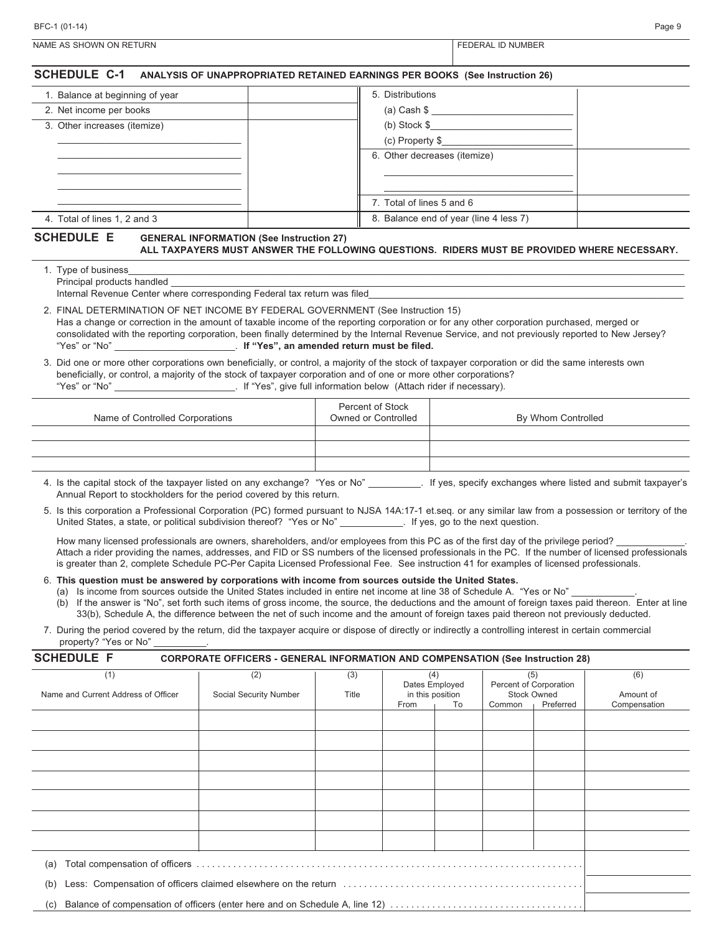| BFC-1 (01-14)                                                                                                                                                                                                                                                                                                                                                                                                                                                                                                                          |                                         |                                        | Page 9 |
|----------------------------------------------------------------------------------------------------------------------------------------------------------------------------------------------------------------------------------------------------------------------------------------------------------------------------------------------------------------------------------------------------------------------------------------------------------------------------------------------------------------------------------------|-----------------------------------------|----------------------------------------|--------|
| NAME AS SHOWN ON RETURN                                                                                                                                                                                                                                                                                                                                                                                                                                                                                                                |                                         | FEDERAL ID NUMBER                      |        |
| <b>SCHEDULE C-1</b><br>ANALYSIS OF UNAPPROPRIATED RETAINED EARNINGS PER BOOKS (See Instruction 26)                                                                                                                                                                                                                                                                                                                                                                                                                                     |                                         |                                        |        |
| 1. Balance at beginning of year                                                                                                                                                                                                                                                                                                                                                                                                                                                                                                        | 5. Distributions                        |                                        |        |
| 2. Net income per books                                                                                                                                                                                                                                                                                                                                                                                                                                                                                                                |                                         | (a) Cash \$                            |        |
| 3. Other increases (itemize)                                                                                                                                                                                                                                                                                                                                                                                                                                                                                                           |                                         | (b) Stock $\frac{1}{2}$                |        |
|                                                                                                                                                                                                                                                                                                                                                                                                                                                                                                                                        |                                         | $(c)$ Property \$                      |        |
|                                                                                                                                                                                                                                                                                                                                                                                                                                                                                                                                        | 6. Other decreases (itemize)            |                                        |        |
|                                                                                                                                                                                                                                                                                                                                                                                                                                                                                                                                        | 7. Total of lines 5 and 6               |                                        |        |
| 4. Total of lines 1, 2 and 3                                                                                                                                                                                                                                                                                                                                                                                                                                                                                                           |                                         | 8. Balance end of year (line 4 less 7) |        |
| ALL TAXPAYERS MUST ANSWER THE FOLLOWING QUESTIONS. RIDERS MUST BE PROVIDED WHERE NECESSARY.<br>1. Type of business_<br>Principal products handled                                                                                                                                                                                                                                                                                                                                                                                      |                                         |                                        |        |
| Internal Revenue Center where corresponding Federal tax return was filed                                                                                                                                                                                                                                                                                                                                                                                                                                                               |                                         |                                        |        |
| 2. FINAL DETERMINATION OF NET INCOME BY FEDERAL GOVERNMENT (See Instruction 15)<br>Has a change or correction in the amount of taxable income of the reporting corporation or for any other corporation purchased, merged or<br>consolidated with the reporting corporation, been finally determined by the Internal Revenue Service, and not previously reported to New Jersey?                                                                                                                                                       |                                         |                                        |        |
| 3. Did one or more other corporations own beneficially, or control, a majority of the stock of taxpayer corporation or did the same interests own<br>beneficially, or control, a majority of the stock of taxpayer corporation and of one or more other corporations?                                                                                                                                                                                                                                                                  |                                         |                                        |        |
| Name of Controlled Corporations                                                                                                                                                                                                                                                                                                                                                                                                                                                                                                        | Percent of Stock<br>Owned or Controlled | By Whom Controlled                     |        |
|                                                                                                                                                                                                                                                                                                                                                                                                                                                                                                                                        |                                         |                                        |        |
|                                                                                                                                                                                                                                                                                                                                                                                                                                                                                                                                        |                                         |                                        |        |
| 4. Is the capital stock of the taxpayer listed on any exchange? "Yes or No" _________. If yes, specify exchanges where listed and submit taxpayer's<br>Annual Report to stockholders for the period covered by this return.                                                                                                                                                                                                                                                                                                            |                                         |                                        |        |
| 5. Is this corporation a Professional Corporation (PC) formed pursuant to NJSA 14A:17-1 et.seq. or any similar law from a possession or territory of the<br>United States, a state, or political subdivision thereof? "Yes or No" ___________. If yes, go to the next question.                                                                                                                                                                                                                                                        |                                         |                                        |        |
| How many licensed professionals are owners, shareholders, and/or employees from this PC as of the first day of the privilege period?<br>Attach a rider providing the names, addresses, and FID or SS numbers of the licensed professionals in the PC. If the number of licensed professionals<br>is greater than 2, complete Schedule PC-Per Capita Licensed Professional Fee. See instruction 41 for examples of licensed professionals.                                                                                              |                                         |                                        |        |
| 6. This question must be answered by corporations with income from sources outside the United States.<br>(a) Is income from sources outside the United States included in entire net income at line 38 of Schedule A. "Yes or No"<br>(b) If the answer is "No", set forth such items of gross income, the source, the deductions and the amount of foreign taxes paid thereon. Enter at line<br>33(b), Schedule A, the difference between the net of such income and the amount of foreign taxes paid thereon not previously deducted. |                                         |                                        |        |
| 7. During the period covered by the return, did the taxpayer acquire or dispose of directly or indirectly a controlling interest in certain commercial<br>property? "Yes or No"                                                                                                                                                                                                                                                                                                                                                        |                                         |                                        |        |

| <b>SCHEDULE F</b>                   | <b>CORPORATE OFFICERS - GENERAL INFORMATION AND COMPENSATION (See Instruction 28)</b> |       |      |                        |        |                                 |                           |
|-------------------------------------|---------------------------------------------------------------------------------------|-------|------|------------------------|--------|---------------------------------|---------------------------|
| (1)                                 | (2)                                                                                   | (3)   |      | (4)<br>Dates Employed  | (5)    | Percent of Corporation          | (6)                       |
| Name and Current Address of Officer | Social Security Number                                                                | Title | From | in this position<br>To | Common | <b>Stock Owned</b><br>Preferred | Amount of<br>Compensation |
|                                     |                                                                                       |       |      |                        |        |                                 |                           |
|                                     |                                                                                       |       |      |                        |        |                                 |                           |
|                                     |                                                                                       |       |      |                        |        |                                 |                           |
|                                     |                                                                                       |       |      |                        |        |                                 |                           |
|                                     |                                                                                       |       |      |                        |        |                                 |                           |
|                                     |                                                                                       |       |      |                        |        |                                 |                           |
|                                     |                                                                                       |       |      |                        |        |                                 |                           |
| (a)                                 |                                                                                       |       |      |                        |        |                                 |                           |
| (b)                                 |                                                                                       |       |      |                        |        |                                 |                           |
| (c)                                 |                                                                                       |       |      |                        |        |                                 |                           |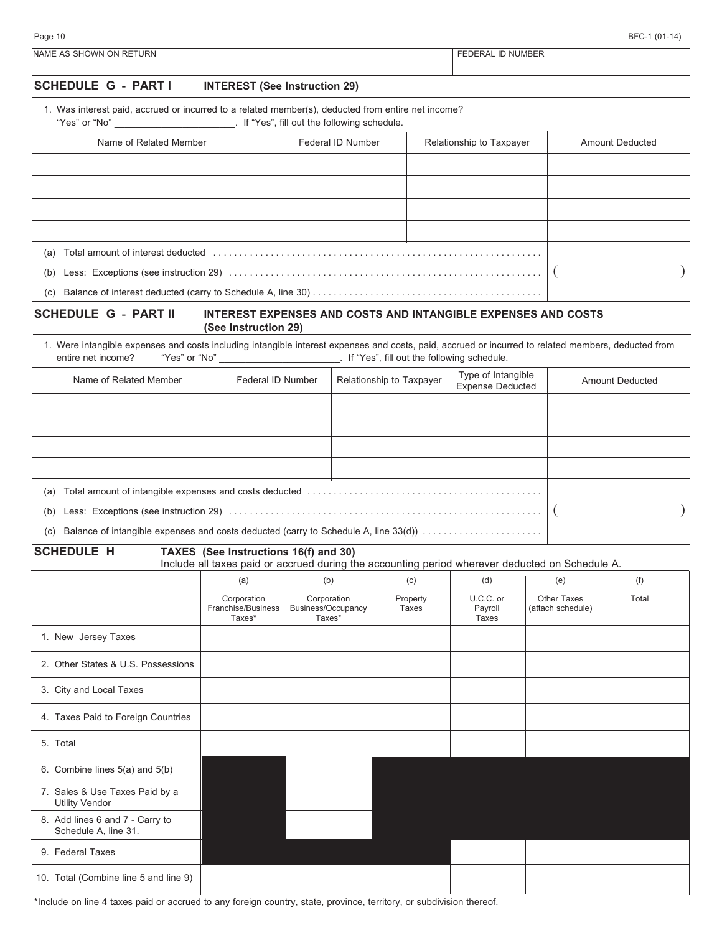|  | BFC-1 (01-14) |
|--|---------------|
|--|---------------|

| Page 10                 | ¬−.<br>(01)<br>╮┍<br>- - |
|-------------------------|--------------------------|
| NAME AS SHOWN ON RETURN | D NUMBEF<br><b>JERAI</b> |

### **SCHEDULE G - PART I INTEREST (See Instruction 29)**

1. Was interest paid, accrued or incurred to a related member(s), deducted from entire net income?

"Yes" or "No" \_\_\_\_\_\_\_\_\_\_\_\_\_\_\_\_\_\_\_\_\_\_\_. If "Yes", fill out the following schedule.

| Name of Related Member                                                                                                                                                                                                                | Federal ID Number | Relationship to Taxpayer | <b>Amount Deducted</b> |
|---------------------------------------------------------------------------------------------------------------------------------------------------------------------------------------------------------------------------------------|-------------------|--------------------------|------------------------|
|                                                                                                                                                                                                                                       |                   |                          |                        |
|                                                                                                                                                                                                                                       |                   |                          |                        |
|                                                                                                                                                                                                                                       |                   |                          |                        |
|                                                                                                                                                                                                                                       |                   |                          |                        |
| Total amount of interest deducted entertainment contains and container and amount of interest deducted entertainment and amount of interest deducted entertainment and an interest of the state of the state of the state of t<br>(a) |                   |                          |                        |
| (b)                                                                                                                                                                                                                                   |                   |                          |                        |
| (c)                                                                                                                                                                                                                                   |                   |                          |                        |

#### **SCHEDULE G - PART II INTEREST EXPENSES AND COSTS AND INTANGIBLE EXPENSES AND COSTS (See Instruction 29)**

1. Were intangible expenses and costs including intangible interest expenses and costs, paid, accrued or incurred to related members, deducted from entire net income? "Yes" or "No" entire net income? "Yes" or "No" entire net income? If "Yes", fill out the following schedule.

| Name of Related Member                                                                     | Federal ID Number | Relationship to Taxpayer | Type of Intangible<br><b>Expense Deducted</b> | <b>Amount Deducted</b> |
|--------------------------------------------------------------------------------------------|-------------------|--------------------------|-----------------------------------------------|------------------------|
|                                                                                            |                   |                          |                                               |                        |
|                                                                                            |                   |                          |                                               |                        |
|                                                                                            |                   |                          |                                               |                        |
|                                                                                            |                   |                          |                                               |                        |
| (a)                                                                                        |                   |                          |                                               |                        |
| (b)                                                                                        |                   |                          |                                               |                        |
| Balance of intangible expenses and costs deducted (carry to Schedule A, line 33(d))<br>(c) |                   |                          |                                               |                        |

**SCHEDULE H TAXES (See Instructions 16(f) and 30)**

Include all taxes paid or accrued during the accounting period wherever deducted on Schedule A.

|                                                         | (a)                                         | (b)                                         | (c)               | (d)                           | (e)                                     | (f)   |
|---------------------------------------------------------|---------------------------------------------|---------------------------------------------|-------------------|-------------------------------|-----------------------------------------|-------|
|                                                         | Corporation<br>Franchise/Business<br>Taxes* | Corporation<br>Business/Occupancy<br>Taxes* | Property<br>Taxes | U.C.C. or<br>Payroll<br>Taxes | <b>Other Taxes</b><br>(attach schedule) | Total |
| 1. New Jersey Taxes                                     |                                             |                                             |                   |                               |                                         |       |
| 2. Other States & U.S. Possessions                      |                                             |                                             |                   |                               |                                         |       |
| 3. City and Local Taxes                                 |                                             |                                             |                   |                               |                                         |       |
| 4. Taxes Paid to Foreign Countries                      |                                             |                                             |                   |                               |                                         |       |
| 5. Total                                                |                                             |                                             |                   |                               |                                         |       |
| 6. Combine lines 5(a) and 5(b)                          |                                             |                                             |                   |                               |                                         |       |
| 7. Sales & Use Taxes Paid by a<br><b>Utility Vendor</b> |                                             |                                             |                   |                               |                                         |       |
| 8. Add lines 6 and 7 - Carry to<br>Schedule A, line 31. |                                             |                                             |                   |                               |                                         |       |
| 9. Federal Taxes                                        |                                             |                                             |                   |                               |                                         |       |
| 10. Total (Combine line 5 and line 9)                   |                                             |                                             |                   |                               |                                         |       |

\*Include on line 4 taxes paid or accrued to any foreign country, state, province, territory, or subdivision thereof.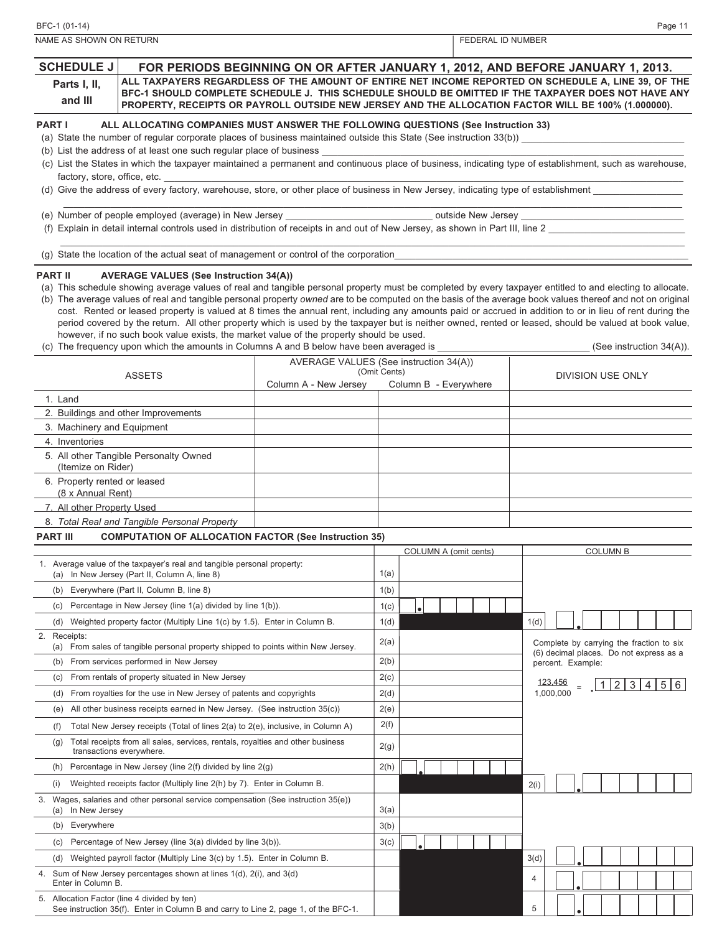| NAME AS SHOWN ON RETURN                                                                                                                                                                                                                                                                                                                                                                                                                                                                                                                                                                                                                                                                                                                                                                                                                                                                                |                                        |              |                       |  | FEDERAL ID NUMBER |           |                   |                 |                                          |  |  |
|--------------------------------------------------------------------------------------------------------------------------------------------------------------------------------------------------------------------------------------------------------------------------------------------------------------------------------------------------------------------------------------------------------------------------------------------------------------------------------------------------------------------------------------------------------------------------------------------------------------------------------------------------------------------------------------------------------------------------------------------------------------------------------------------------------------------------------------------------------------------------------------------------------|----------------------------------------|--------------|-----------------------|--|-------------------|-----------|-------------------|-----------------|------------------------------------------|--|--|
| <b>SCHEDULE J</b><br>FOR PERIODS BEGINNING ON OR AFTER JANUARY 1, 2012, AND BEFORE JANUARY 1, 2013.<br>ALL TAXPAYERS REGARDLESS OF THE AMOUNT OF ENTIRE NET INCOME REPORTED ON SCHEDULE A. LINE 39. OF THE<br>Parts I, II,<br>BFC-1 SHOULD COMPLETE SCHEDULE J. THIS SCHEDULE SHOULD BE OMITTED IF THE TAXPAYER DOES NOT HAVE ANY<br>and III                                                                                                                                                                                                                                                                                                                                                                                                                                                                                                                                                           |                                        |              |                       |  |                   |           |                   |                 |                                          |  |  |
| PROPERTY, RECEIPTS OR PAYROLL OUTSIDE NEW JERSEY AND THE ALLOCATION FACTOR WILL BE 100% (1.000000).                                                                                                                                                                                                                                                                                                                                                                                                                                                                                                                                                                                                                                                                                                                                                                                                    |                                        |              |                       |  |                   |           |                   |                 |                                          |  |  |
| <b>PART I</b><br>ALL ALLOCATING COMPANIES MUST ANSWER THE FOLLOWING QUESTIONS (See Instruction 33)                                                                                                                                                                                                                                                                                                                                                                                                                                                                                                                                                                                                                                                                                                                                                                                                     |                                        |              |                       |  |                   |           |                   |                 |                                          |  |  |
| (a) State the number of regular corporate places of business maintained outside this State (See instruction 33(b))<br>(b) List the address of at least one such regular place of business                                                                                                                                                                                                                                                                                                                                                                                                                                                                                                                                                                                                                                                                                                              |                                        |              |                       |  |                   |           |                   |                 |                                          |  |  |
| (c) List the States in which the taxpayer maintained a permanent and continuous place of business, indicating type of establishment, such as warehouse,                                                                                                                                                                                                                                                                                                                                                                                                                                                                                                                                                                                                                                                                                                                                                |                                        |              |                       |  |                   |           |                   |                 |                                          |  |  |
| factory, store, office, etc.                                                                                                                                                                                                                                                                                                                                                                                                                                                                                                                                                                                                                                                                                                                                                                                                                                                                           |                                        |              |                       |  |                   |           |                   |                 |                                          |  |  |
| (d) Give the address of every factory, warehouse, store, or other place of business in New Jersey, indicating type of establishment                                                                                                                                                                                                                                                                                                                                                                                                                                                                                                                                                                                                                                                                                                                                                                    |                                        |              |                       |  |                   |           |                   |                 |                                          |  |  |
| (e) Number of people employed (average) in New Jersey _                                                                                                                                                                                                                                                                                                                                                                                                                                                                                                                                                                                                                                                                                                                                                                                                                                                |                                        |              |                       |  |                   |           |                   |                 |                                          |  |  |
| (f) Explain in detail internal controls used in distribution of receipts in and out of New Jersey, as shown in Part III, line 2                                                                                                                                                                                                                                                                                                                                                                                                                                                                                                                                                                                                                                                                                                                                                                        |                                        |              |                       |  |                   |           |                   |                 |                                          |  |  |
|                                                                                                                                                                                                                                                                                                                                                                                                                                                                                                                                                                                                                                                                                                                                                                                                                                                                                                        |                                        |              |                       |  |                   |           |                   |                 |                                          |  |  |
| (g) State the location of the actual seat of management or control of the corporation                                                                                                                                                                                                                                                                                                                                                                                                                                                                                                                                                                                                                                                                                                                                                                                                                  |                                        |              |                       |  |                   |           |                   |                 |                                          |  |  |
| <b>PART II</b><br><b>AVERAGE VALUES (See Instruction 34(A))</b><br>(a) This schedule showing average values of real and tangible personal property must be completed by every taxpayer entitled to and electing to allocate.<br>(b) The average values of real and tangible personal property owned are to be computed on the basis of the average book values thereof and not on original<br>cost. Rented or leased property is valued at 8 times the annual rent, including any amounts paid or accrued in addition to or in lieu of rent during the<br>period covered by the return. All other property which is used by the taxpayer but is neither owned, rented or leased, should be valued at book value,<br>however, if no such book value exists, the market value of the property should be used.<br>(c) The frequency upon which the amounts in Columns A and B below have been averaged is |                                        |              |                       |  |                   |           |                   |                 | (See instruction $34(A)$ ).              |  |  |
|                                                                                                                                                                                                                                                                                                                                                                                                                                                                                                                                                                                                                                                                                                                                                                                                                                                                                                        | AVERAGE VALUES (See instruction 34(A)) |              |                       |  |                   |           |                   |                 |                                          |  |  |
| <b>ASSETS</b>                                                                                                                                                                                                                                                                                                                                                                                                                                                                                                                                                                                                                                                                                                                                                                                                                                                                                          | Column A - New Jersey                  | (Omit Cents) | Column B - Everywhere |  |                   |           |                   |                 | <b>DIVISION USE ONLY</b>                 |  |  |
| 1. Land                                                                                                                                                                                                                                                                                                                                                                                                                                                                                                                                                                                                                                                                                                                                                                                                                                                                                                |                                        |              |                       |  |                   |           |                   |                 |                                          |  |  |
| 2. Buildings and other Improvements                                                                                                                                                                                                                                                                                                                                                                                                                                                                                                                                                                                                                                                                                                                                                                                                                                                                    |                                        |              |                       |  |                   |           |                   |                 |                                          |  |  |
| 3. Machinery and Equipment                                                                                                                                                                                                                                                                                                                                                                                                                                                                                                                                                                                                                                                                                                                                                                                                                                                                             |                                        |              |                       |  |                   |           |                   |                 |                                          |  |  |
| 4. Inventories<br>5. All other Tangible Personalty Owned                                                                                                                                                                                                                                                                                                                                                                                                                                                                                                                                                                                                                                                                                                                                                                                                                                               |                                        |              |                       |  |                   |           |                   |                 |                                          |  |  |
| (Itemize on Rider)                                                                                                                                                                                                                                                                                                                                                                                                                                                                                                                                                                                                                                                                                                                                                                                                                                                                                     |                                        |              |                       |  |                   |           |                   |                 |                                          |  |  |
| 6. Property rented or leased<br>(8 x Annual Rent)                                                                                                                                                                                                                                                                                                                                                                                                                                                                                                                                                                                                                                                                                                                                                                                                                                                      |                                        |              |                       |  |                   |           |                   |                 |                                          |  |  |
| 7. All other Property Used                                                                                                                                                                                                                                                                                                                                                                                                                                                                                                                                                                                                                                                                                                                                                                                                                                                                             |                                        |              |                       |  |                   |           |                   |                 |                                          |  |  |
| 8. Total Real and Tangible Personal Property                                                                                                                                                                                                                                                                                                                                                                                                                                                                                                                                                                                                                                                                                                                                                                                                                                                           |                                        |              |                       |  |                   |           |                   |                 |                                          |  |  |
| <b>PART III</b><br><b>COMPUTATION OF ALLOCATION FACTOR (See Instruction 35)</b>                                                                                                                                                                                                                                                                                                                                                                                                                                                                                                                                                                                                                                                                                                                                                                                                                        |                                        |              |                       |  |                   |           |                   |                 |                                          |  |  |
| 1. Average value of the taxpayer's real and tangible personal property:                                                                                                                                                                                                                                                                                                                                                                                                                                                                                                                                                                                                                                                                                                                                                                                                                                |                                        |              | COLUMN A (omit cents) |  |                   |           |                   | <b>COLUMN B</b> |                                          |  |  |
| (a) In New Jersey (Part II, Column A, line 8)                                                                                                                                                                                                                                                                                                                                                                                                                                                                                                                                                                                                                                                                                                                                                                                                                                                          |                                        | 1(a)         |                       |  |                   |           |                   |                 |                                          |  |  |
| Everywhere (Part II, Column B, line 8)<br>(b)                                                                                                                                                                                                                                                                                                                                                                                                                                                                                                                                                                                                                                                                                                                                                                                                                                                          |                                        | 1(b)         |                       |  |                   |           |                   |                 |                                          |  |  |
| Percentage in New Jersey (line 1(a) divided by line 1(b)).<br>(c)                                                                                                                                                                                                                                                                                                                                                                                                                                                                                                                                                                                                                                                                                                                                                                                                                                      |                                        | 1(c)         |                       |  |                   |           |                   |                 |                                          |  |  |
| Weighted property factor (Multiply Line 1(c) by 1.5). Enter in Column B.<br>(d)                                                                                                                                                                                                                                                                                                                                                                                                                                                                                                                                                                                                                                                                                                                                                                                                                        |                                        | 1(d)         |                       |  | 1(d)              |           |                   |                 |                                          |  |  |
| 2. Receipts:<br>(a) From sales of tangible personal property shipped to points within New Jersey.                                                                                                                                                                                                                                                                                                                                                                                                                                                                                                                                                                                                                                                                                                                                                                                                      |                                        | 2(a)         |                       |  |                   |           |                   |                 | Complete by carrying the fraction to six |  |  |
| From services performed in New Jersey<br>(b)                                                                                                                                                                                                                                                                                                                                                                                                                                                                                                                                                                                                                                                                                                                                                                                                                                                           |                                        | 2(b)         |                       |  |                   |           | percent. Example: |                 | (6) decimal places. Do not express as a  |  |  |
| From rentals of property situated in New Jersey<br>(c)                                                                                                                                                                                                                                                                                                                                                                                                                                                                                                                                                                                                                                                                                                                                                                                                                                                 |                                        | 2(c)         |                       |  |                   | 123,456   |                   |                 | 1 2 3 4 5 6                              |  |  |
| From royalties for the use in New Jersey of patents and copyrights<br>(d)                                                                                                                                                                                                                                                                                                                                                                                                                                                                                                                                                                                                                                                                                                                                                                                                                              |                                        | 2(d)         |                       |  |                   | 1,000,000 |                   |                 |                                          |  |  |
| All other business receipts earned in New Jersey. (See instruction 35(c))<br>(e)                                                                                                                                                                                                                                                                                                                                                                                                                                                                                                                                                                                                                                                                                                                                                                                                                       |                                        | 2(e)         |                       |  |                   |           |                   |                 |                                          |  |  |
| Total New Jersey receipts (Total of lines 2(a) to 2(e), inclusive, in Column A)<br>(f)                                                                                                                                                                                                                                                                                                                                                                                                                                                                                                                                                                                                                                                                                                                                                                                                                 |                                        | 2(f)         |                       |  |                   |           |                   |                 |                                          |  |  |
| Total receipts from all sales, services, rentals, royalties and other business<br>(g)<br>transactions everywhere.                                                                                                                                                                                                                                                                                                                                                                                                                                                                                                                                                                                                                                                                                                                                                                                      |                                        | 2(g)         |                       |  |                   |           |                   |                 |                                          |  |  |
| Percentage in New Jersey (line 2(f) divided by line 2(g)<br>(h)                                                                                                                                                                                                                                                                                                                                                                                                                                                                                                                                                                                                                                                                                                                                                                                                                                        |                                        | 2(h)         |                       |  |                   |           |                   |                 |                                          |  |  |
| (i)<br>Weighted receipts factor (Multiply line 2(h) by 7). Enter in Column B.                                                                                                                                                                                                                                                                                                                                                                                                                                                                                                                                                                                                                                                                                                                                                                                                                          |                                        |              |                       |  | 2(i)              |           |                   |                 |                                          |  |  |
| Wages, salaries and other personal service compensation (See instruction 35(e))<br>3.<br>(a) In New Jersey                                                                                                                                                                                                                                                                                                                                                                                                                                                                                                                                                                                                                                                                                                                                                                                             |                                        | 3(a)         |                       |  |                   |           |                   |                 |                                          |  |  |
| (b) Everywhere                                                                                                                                                                                                                                                                                                                                                                                                                                                                                                                                                                                                                                                                                                                                                                                                                                                                                         |                                        | 3(b)         |                       |  |                   |           |                   |                 |                                          |  |  |
| Percentage of New Jersey (line 3(a) divided by line 3(b)).<br>(c)                                                                                                                                                                                                                                                                                                                                                                                                                                                                                                                                                                                                                                                                                                                                                                                                                                      |                                        | 3(c)         |                       |  |                   |           |                   |                 |                                          |  |  |
| Weighted payroll factor (Multiply Line 3(c) by 1.5). Enter in Column B.<br>(d)                                                                                                                                                                                                                                                                                                                                                                                                                                                                                                                                                                                                                                                                                                                                                                                                                         |                                        |              |                       |  | 3(d)              |           |                   |                 |                                          |  |  |
| Sum of New Jersey percentages shown at lines 1(d), 2(i), and 3(d)<br>4.<br>Enter in Column B.                                                                                                                                                                                                                                                                                                                                                                                                                                                                                                                                                                                                                                                                                                                                                                                                          |                                        |              |                       |  | 4                 |           |                   |                 |                                          |  |  |
| Allocation Factor (line 4 divided by ten)<br>5.<br>See instruction 35(f). Enter in Column B and carry to Line 2, page 1, of the BFC-1.                                                                                                                                                                                                                                                                                                                                                                                                                                                                                                                                                                                                                                                                                                                                                                 |                                        |              |                       |  | 5                 |           |                   |                 |                                          |  |  |

BFC-1 (01-14) Page 11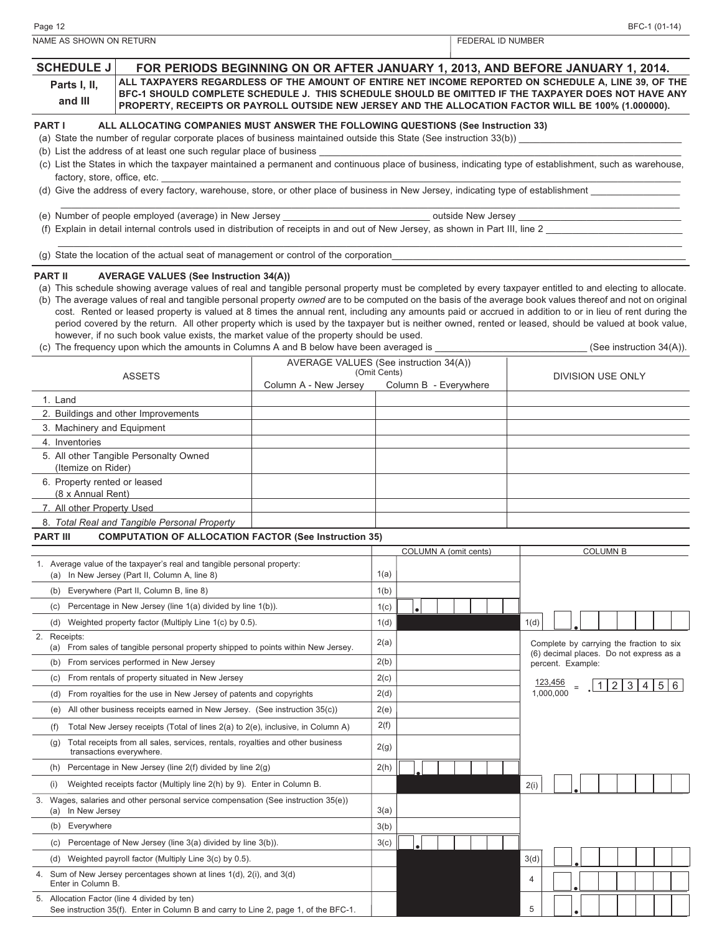COLUMN A (omit cents) COLUMN B 1. Average value of the taxpayer's real and tangible personal property: (a) In New Jersey (Part II, Column A, line 8)  $(1(a)$ (b) Everywhere (Part II, Column B, line 8)  $(1(b)$ (c) Percentage in New Jersey (line  $1(a)$  divided by line  $1(b)$ ).  $\vert 1(c)$ 1(d) 2. Receipts: (a) From sales of tangible personal property shipped to points within New Jersey.  $\begin{vmatrix} 2(a) \\ 2(a) \end{vmatrix}$ (b) From services performed in New Jersey 2(b) (c) From rentals of property situated in New Jersey  $2(c)$ (d) From royalties for the use in New Jersey of patents and copyrights  $|2(d)$ (e) All other business receipts earned in New Jersey. (See instruction  $35(c)$ )  $|2(e)$ (f) Total New Jersey receipts (Total of lines 2(a) to 2(e), inclusive, in Column A) 2(f) (g) Total receipts from all sales, services, rentals, royalties and other business transactions everywhere. 2(g) (h) Percentage in New Jersey (line  $2(f)$  divided by line  $2(g)$  2(h) (i) Weighted receipts factor (Multiply line 2(h) by 9). Enter in Column B. 2(i) 3. Wages, salaries and other personal service compensation (See instruction 35(e)) (a) In New Jersey  $3(a)$ (b) Everywhere  $3(b)$ (c) Percentage of New Jersey (line  $3(a)$  divided by line  $3(b)$ ).  $\begin{array}{|l}3(c)$ Complete by carrying the fraction to six (6) decimal places. Do not express as a percent. Example:  $|1|2|3|4|5|6$ 123,456 1,000,000 **. . .** (d) Weighted property factor (Multiply Line  $1(c)$  by 0.5).  $\vert$  1(d) (d) Weighted payroll factor (Multiply Line 3(c) by 0.5).  $\qquad \qquad$  3(d) **. . .** AVERAGE VALUES (See instruction 34(A)) (Omit Cents) Column A - New Jersey Column B - Everywhere 1. Land 2. Buildings and other Improvements 3. Machinery and Equipment 4. Inventories 5. All other Tangible Personalty Owned (Itemize on Rider) 6. Property rented or leased (8 x Annual Rent) 7. All other Property Used 8. *Total Real and Tangible Personal Property* ASSETS **ASSETS Example 2** (Omit Cents) **CONSIDENTS DIVISION USE ONLY ALL TAXPAYERS REGARDLESS OF THE AMOUNT OF ENTIRE NET INCOME REPORTED ON SCHEDULE A, LINE 39, OF THE BFC-1 SHOULD COMPLETE SCHEDULE J. THIS SCHEDULE SHOULD BE OMITTED IF THE TAXPAYER DOES NOT HAVE ANY PROPERTY, RECEIPTS OR PAYROLL OUTSIDE NEW JERSEY AND THE ALLOCATION FACTOR WILL BE 100% (1.000000). PART I ALL ALLOCATING COMPANIES MUST ANSWER THE FOLLOWING QUESTIONS (See Instruction 33)** (a) State the number of regular corporate places of business maintained outside this State (See instruction 33(b)) (b) List the address of at least one such regular place of business (c) List the States in which the taxpayer maintained a permanent and continuous place of business, indicating type of establishment, such as warehouse, factory, store, office, etc. (d) Give the address of every factory, warehouse, store, or other place of business in New Jersey, indicating type of establishment \_\_\_\_\_\_\_\_\_\_\_\_\_\_\_\_\_\_\_\_\_\_\_\_\_\_\_\_\_\_\_\_\_\_\_\_\_\_\_\_\_\_\_\_\_\_\_\_\_\_\_\_\_\_\_\_\_\_\_\_\_\_\_\_\_\_\_\_\_\_\_\_\_\_\_\_\_\_\_\_\_\_\_\_\_\_\_\_\_\_\_\_\_\_\_\_\_\_\_\_\_\_\_\_\_\_\_\_\_\_\_\_\_\_\_\_\_\_ (e) Number of people employed (average) in New Jersey example the second putside New Jersey (f) Explain in detail internal controls used in distribution of receipts in and out of New Jersey, as shown in Part III, line 2 \_\_\_\_\_\_\_\_\_\_\_\_\_\_\_\_\_\_\_\_\_\_\_\_\_\_\_\_\_\_\_\_\_\_\_\_\_\_\_\_\_\_\_\_\_\_\_\_\_\_\_\_\_\_\_\_\_\_\_\_\_\_\_\_\_\_\_\_\_\_\_\_\_\_\_\_\_\_\_\_\_\_\_\_\_\_\_\_\_\_\_\_\_\_\_\_\_\_\_\_\_\_\_\_\_\_\_\_\_\_\_\_\_\_\_\_\_\_\_ (q) State the location of the actual seat of management or control of the corporation **PART II AVERAGE VALUES (See Instruction 34(A))** (a) This schedule showing average values of real and tangible personal property must be completed by every taxpayer entitled to and electing to allocate. (b) The average values of real and tangible personal property *owned* are to be computed on the basis of the average book values thereof and not on original cost. Rented or leased property is valued at 8 times the annual rent, including any amounts paid or accrued in addition to or in lieu of rent during the period covered by the return. All other property which is used by the taxpayer but is neither owned, rented or leased, should be valued at book value, however, if no such book value exists, the market value of the property should be used. (c) The frequency upon which the amounts in Columns A and B below have been averaged is  $(See$  instruction 34(A)). **PART III COMPUTATION OF ALLOCATION FACTOR (See Instruction 35)** NAME AS SHOWN ON RETURN FEDERAL ID NUMBER **SCHEDULE J Parts I, II, and III FOR PERIODS BEGINNING ON OR AFTER JANUARY 1, 2013, AND BEFORE JANUARY 1, 2014.**

Page 12 BFC-1 (01-14)

4. Sum of New Jersey percentages shown at lines 1(d), 2(i), and 3(d) Enter in Column B. <sup>4</sup>

See instruction 35(f). Enter in Column B and carry to Line 2, page 1, of the BFC-1.

**. .**

5. Allocation Factor (line 4 divided by ten)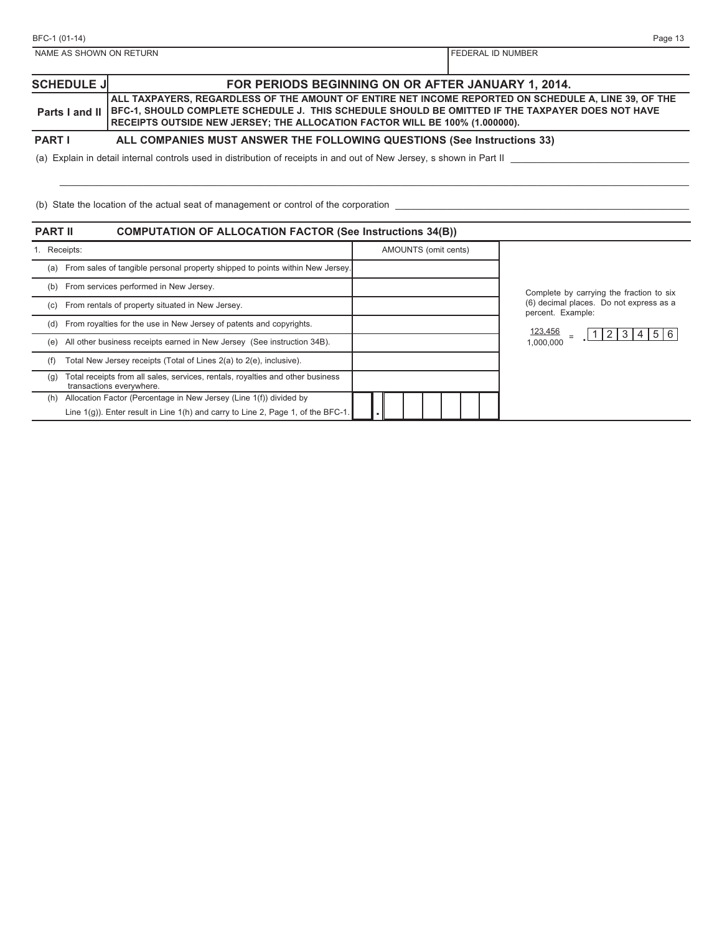| BFC-1 (01-14)           |                                                                                                                                                                                                                                                                                         | Page 13           |
|-------------------------|-----------------------------------------------------------------------------------------------------------------------------------------------------------------------------------------------------------------------------------------------------------------------------------------|-------------------|
| NAME AS SHOWN ON RETURN |                                                                                                                                                                                                                                                                                         | FEDERAL ID NUMBER |
|                         |                                                                                                                                                                                                                                                                                         |                   |
| <b>SCHEDULE JI</b>      | FOR PERIODS BEGINNING ON OR AFTER JANUARY 1, 2014.                                                                                                                                                                                                                                      |                   |
| Parts I and II          | ALL TAXPAYERS, REGARDLESS OF THE AMOUNT OF ENTIRE NET INCOME REPORTED ON SCHEDULE A, LINE 39, OF THE<br>BFC-1, SHOULD COMPLETE SCHEDULE J. THIS SCHEDULE SHOULD BE OMITTED IF THE TAXPAYER DOES NOT HAVE<br>RECEIPTS OUTSIDE NEW JERSEY; THE ALLOCATION FACTOR WILL BE 100% (1.000000). |                   |
| <b>PART I</b>           | ALL COMPANIES MUST ANSWER THE FOLLOWING QUESTIONS (See Instructions 33)                                                                                                                                                                                                                 |                   |
|                         | (a) Explain in detail internal controls used in distribution of receipts in and out of New Jersey, s shown in Part II                                                                                                                                                                   |                   |
|                         |                                                                                                                                                                                                                                                                                         |                   |
|                         | (b) State the location of the actual seat of management or control of the corporation                                                                                                                                                                                                   |                   |
| <b>PART II</b>          | <b>COMPUTATION OF ALLOCATION FACTOR (See Instructions 34(B))</b>                                                                                                                                                                                                                        |                   |
|                         |                                                                                                                                                                                                                                                                                         |                   |

|     | 1. Receipts:                                                                                               | AMOUNTS (omit cents) |                                                              |
|-----|------------------------------------------------------------------------------------------------------------|----------------------|--------------------------------------------------------------|
| (a) | From sales of tangible personal property shipped to points within New Jersey.                              |                      |                                                              |
| (b) | From services performed in New Jersey.                                                                     |                      | Complete by carrying the fraction to six                     |
| (c) | From rentals of property situated in New Jersey.                                                           |                      | (6) decimal places. Do not express as a<br>percent. Example: |
| (d) | From royalties for the use in New Jersey of patents and copyrights.                                        |                      | <u>123,456</u>                                               |
| (e) | All other business receipts earned in New Jersey (See instruction 34B).                                    |                      | 1 2 3 4 5 6<br>1,000,000                                     |
| (f) | Total New Jersey receipts (Total of Lines 2(a) to 2(e), inclusive).                                        |                      |                                                              |
| (g) | Total receipts from all sales, services, rentals, royalties and other business<br>transactions everywhere. |                      |                                                              |
| (h) | Allocation Factor (Percentage in New Jersey (Line 1(f)) divided by                                         |                      |                                                              |
|     | Line $1(g)$ ). Enter result in Line $1(h)$ and carry to Line 2, Page 1, of the BFC-1                       |                      |                                                              |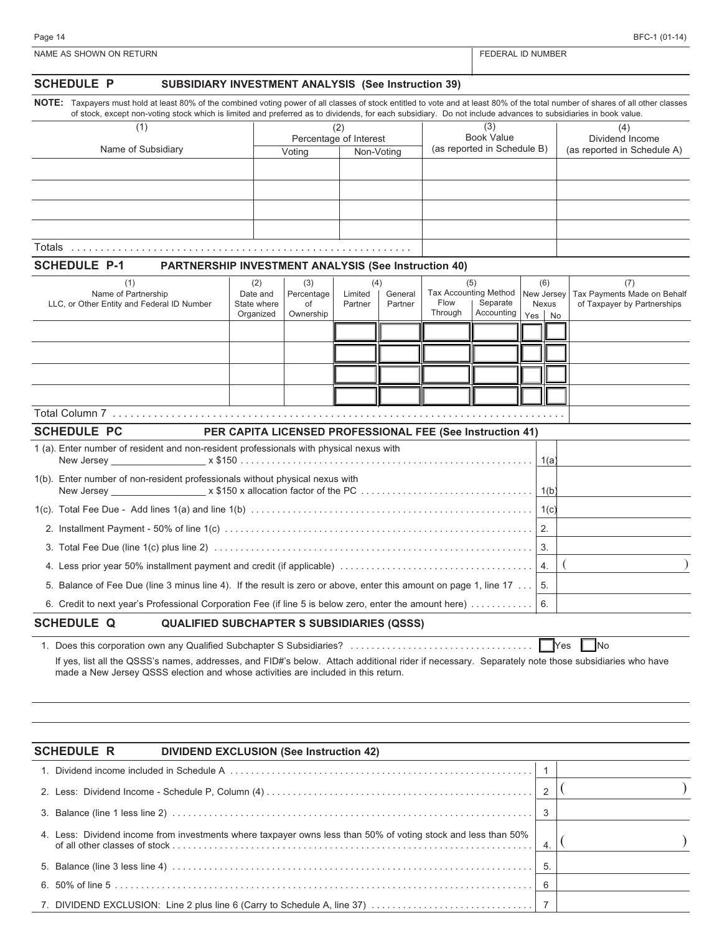| <b>SCHEDULE P</b><br>SUBSIDIARY INVESTMENT ANALYSIS (See Instruction 39)                                                                                                                                                               |                                                           |                        |                |         |                 |                                                  |                   |                                    |
|----------------------------------------------------------------------------------------------------------------------------------------------------------------------------------------------------------------------------------------|-----------------------------------------------------------|------------------------|----------------|---------|-----------------|--------------------------------------------------|-------------------|------------------------------------|
| NOTE: Taxpayers must hold at least 80% of the combined voting power of all classes of stock entitled to vote and at least 80% of the total number of shares of all other classes                                                       |                                                           |                        |                |         |                 |                                                  |                   |                                    |
| of stock, except non-voting stock which is limited and preferred as to dividends, for each subsidiary. Do not include advances to subsidiaries in book value.<br>(1)                                                                   |                                                           |                        | (2)            |         |                 | (3)                                              |                   | (4)                                |
| Name of Subsidiary                                                                                                                                                                                                                     |                                                           | Percentage of Interest |                |         |                 | <b>Book Value</b><br>(as reported in Schedule B) |                   | Dividend Income                    |
|                                                                                                                                                                                                                                        |                                                           | Voting                 | Non-Voting     |         |                 |                                                  |                   | (as reported in Schedule A)        |
|                                                                                                                                                                                                                                        |                                                           |                        |                |         |                 |                                                  |                   |                                    |
|                                                                                                                                                                                                                                        |                                                           |                        |                |         |                 |                                                  |                   |                                    |
|                                                                                                                                                                                                                                        |                                                           |                        |                |         |                 |                                                  |                   |                                    |
|                                                                                                                                                                                                                                        |                                                           |                        |                |         |                 |                                                  |                   |                                    |
|                                                                                                                                                                                                                                        |                                                           |                        |                |         |                 |                                                  |                   |                                    |
| <b>SCHEDULE P-1</b><br><b>PARTNERSHIP INVESTMENT ANALYSIS (See Instruction 40)</b>                                                                                                                                                     |                                                           |                        |                |         |                 |                                                  |                   |                                    |
| (1)<br>Name of Partnership                                                                                                                                                                                                             | (2)<br>Date and                                           | (3)<br>Percentage      | (4)<br>Limited | General |                 | (5)<br><b>Tax Accounting Method</b>              | (6)<br>New Jersey | (7)<br>Tax Payments Made on Behalf |
| LLC, or Other Entity and Federal ID Number                                                                                                                                                                                             | State where                                               | of                     | Partner        | Partner | Flow<br>Through | Separate<br>Accounting                           | Nexus             | of Taxpayer by Partnerships        |
|                                                                                                                                                                                                                                        | Organized                                                 | Ownership              |                |         |                 |                                                  | Yes<br>No         |                                    |
|                                                                                                                                                                                                                                        |                                                           |                        |                |         |                 |                                                  |                   |                                    |
|                                                                                                                                                                                                                                        |                                                           |                        |                |         |                 |                                                  |                   |                                    |
|                                                                                                                                                                                                                                        |                                                           |                        |                |         |                 |                                                  |                   |                                    |
|                                                                                                                                                                                                                                        |                                                           |                        |                |         |                 |                                                  |                   |                                    |
|                                                                                                                                                                                                                                        |                                                           |                        |                |         |                 |                                                  |                   |                                    |
| <b>SCHEDULE PC</b>                                                                                                                                                                                                                     | PER CAPITA LICENSED PROFESSIONAL FEE (See Instruction 41) |                        |                |         |                 |                                                  |                   |                                    |
| 1 (a). Enter number of resident and non-resident professionals with physical nexus with                                                                                                                                                |                                                           |                        |                |         |                 |                                                  | 1(a)              |                                    |
| 1(b). Enter number of non-resident professionals without physical nexus with                                                                                                                                                           |                                                           |                        |                |         |                 |                                                  | 1(b)              |                                    |
|                                                                                                                                                                                                                                        |                                                           |                        |                |         |                 |                                                  | 1(c)              |                                    |
|                                                                                                                                                                                                                                        |                                                           |                        |                |         |                 |                                                  | 2.                |                                    |
|                                                                                                                                                                                                                                        |                                                           |                        |                |         |                 |                                                  | 3.                |                                    |
|                                                                                                                                                                                                                                        |                                                           |                        |                |         |                 |                                                  | 4.                |                                    |
| 5. Balance of Fee Due (line 3 minus line 4). If the result is zero or above, enter this amount on page 1, line 17                                                                                                                      |                                                           |                        |                |         |                 |                                                  | 5.                |                                    |
| 6. Credit to next year's Professional Corporation Fee (if line 5 is below zero, enter the amount here)                                                                                                                                 |                                                           |                        |                |         |                 |                                                  | 6.                |                                    |
| <b>SCHEDULE Q</b><br><b>QUALIFIED SUBCHAPTER S SUBSIDIARIES (QSSS)</b>                                                                                                                                                                 |                                                           |                        |                |         |                 |                                                  |                   |                                    |
|                                                                                                                                                                                                                                        |                                                           |                        |                |         |                 |                                                  |                   |                                    |
| If yes, list all the QSSS's names, addresses, and FID#'s below. Attach additional rider if necessary. Separately note those subsidiaries who have<br>made a New Jersey QSSS election and whose activities are included in this return. |                                                           |                        |                |         |                 |                                                  | Yes               | $\blacksquare$ No                  |
|                                                                                                                                                                                                                                        |                                                           |                        |                |         |                 |                                                  |                   |                                    |
| <b>SCHEDULE R</b><br><b>DIVIDEND EXCLUSION (See Instruction 42)</b>                                                                                                                                                                    |                                                           |                        |                |         |                 |                                                  |                   |                                    |
|                                                                                                                                                                                                                                        |                                                           |                        |                |         |                 |                                                  | $\mathbf{1}$      |                                    |
|                                                                                                                                                                                                                                        |                                                           |                        |                |         |                 |                                                  | 2                 |                                    |
|                                                                                                                                                                                                                                        |                                                           |                        |                |         |                 |                                                  | 3                 |                                    |
| 4. Less: Dividend income from investments where taxpayer owns less than 50% of voting stock and less than 50%                                                                                                                          |                                                           |                        |                |         |                 |                                                  | 4.                |                                    |
|                                                                                                                                                                                                                                        |                                                           |                        |                |         |                 |                                                  | 5.                |                                    |
|                                                                                                                                                                                                                                        |                                                           |                        |                |         |                 |                                                  | 6                 |                                    |
| 7. DIVIDEND EXCLUSION: Line 2 plus line 6 (Carry to Schedule A, line 37)                                                                                                                                                               |                                                           |                        |                |         |                 |                                                  | $\overline{7}$    |                                    |
|                                                                                                                                                                                                                                        |                                                           |                        |                |         |                 |                                                  |                   |                                    |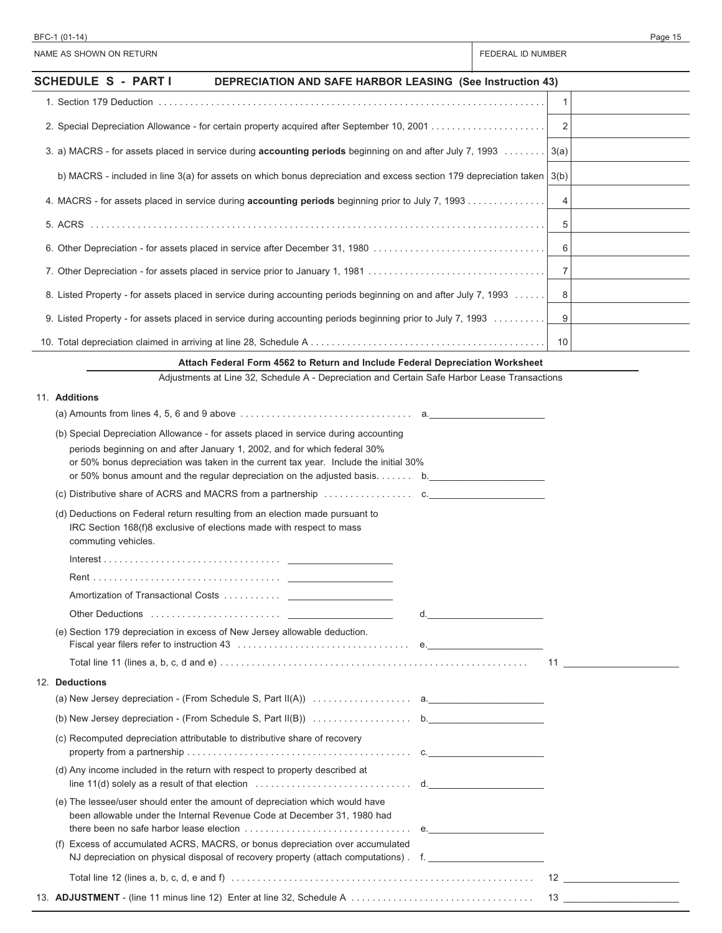| BFC-1 (01-14)                                                                                                                                                                                                                                                                                                                          | Page 15                                                                                                         |
|----------------------------------------------------------------------------------------------------------------------------------------------------------------------------------------------------------------------------------------------------------------------------------------------------------------------------------------|-----------------------------------------------------------------------------------------------------------------|
| NAME AS SHOWN ON RETURN                                                                                                                                                                                                                                                                                                                | FEDERAL ID NUMBER                                                                                               |
| <b>SCHEDULE S - PARTI</b><br><b>DEPRECIATION AND SAFE HARBOR LEASING (See Instruction 43)</b>                                                                                                                                                                                                                                          |                                                                                                                 |
|                                                                                                                                                                                                                                                                                                                                        | $\mathbf{1}$                                                                                                    |
|                                                                                                                                                                                                                                                                                                                                        | 2                                                                                                               |
| 3. a) MACRS - for assets placed in service during accounting periods beginning on and after July 7, 1993                                                                                                                                                                                                                               | 3(a)                                                                                                            |
| b) MACRS - included in line 3(a) for assets on which bonus depreciation and excess section 179 depreciation taken   3(b)                                                                                                                                                                                                               |                                                                                                                 |
| 4. MACRS - for assets placed in service during accounting periods beginning prior to July 7, 1993                                                                                                                                                                                                                                      | 4                                                                                                               |
|                                                                                                                                                                                                                                                                                                                                        | 5                                                                                                               |
| 6. Other Depreciation - for assets placed in service after December 31, 1980                                                                                                                                                                                                                                                           | 6                                                                                                               |
|                                                                                                                                                                                                                                                                                                                                        | $\overline{7}$                                                                                                  |
| 8. Listed Property - for assets placed in service during accounting periods beginning on and after July 7, 1993                                                                                                                                                                                                                        | 8                                                                                                               |
| 9. Listed Property - for assets placed in service during accounting periods beginning prior to July 7, 1993                                                                                                                                                                                                                            | 9                                                                                                               |
|                                                                                                                                                                                                                                                                                                                                        | 10                                                                                                              |
| Attach Federal Form 4562 to Return and Include Federal Depreciation Worksheet                                                                                                                                                                                                                                                          |                                                                                                                 |
| Adjustments at Line 32, Schedule A - Depreciation and Certain Safe Harbor Lease Transactions                                                                                                                                                                                                                                           |                                                                                                                 |
| 11. Additions                                                                                                                                                                                                                                                                                                                          |                                                                                                                 |
| (a) Amounts from lines $4, 5, 6$ and $9$ above $\ldots \ldots \ldots \ldots \ldots \ldots \ldots$ a.                                                                                                                                                                                                                                   |                                                                                                                 |
| (b) Special Depreciation Allowance - for assets placed in service during accounting<br>periods beginning on and after January 1, 2002, and for which federal 30%<br>or 50% bonus depreciation was taken in the current tax year. Include the initial 30%<br>or 50% bonus amount and the regular depreciation on the adjusted basis. b. |                                                                                                                 |
| (c) Distributive share of ACRS and MACRS from a partnership $\ldots \ldots \ldots \ldots$                                                                                                                                                                                                                                              |                                                                                                                 |
| (d) Deductions on Federal return resulting from an election made pursuant to<br>IRC Section 168(f)8 exclusive of elections made with respect to mass<br>commuting vehicles.                                                                                                                                                            |                                                                                                                 |
| Interest                                                                                                                                                                                                                                                                                                                               |                                                                                                                 |
|                                                                                                                                                                                                                                                                                                                                        |                                                                                                                 |
|                                                                                                                                                                                                                                                                                                                                        |                                                                                                                 |
| Other Deductions (and all and all and all and all and all and all and all and all and all and all and all and a                                                                                                                                                                                                                        | d. All and the state of the state of the state of the state of the state of the state of the state of the state |
| (e) Section 179 depreciation in excess of New Jersey allowable deduction.<br>Fiscal year filers refer to instruction 43 measures and contained a series of equipment of the contact of the contact of the contact of the contact of the contact of the contact of the contact of the contact of the contact                            |                                                                                                                 |
|                                                                                                                                                                                                                                                                                                                                        |                                                                                                                 |
| 12. Deductions                                                                                                                                                                                                                                                                                                                         |                                                                                                                 |
|                                                                                                                                                                                                                                                                                                                                        |                                                                                                                 |
|                                                                                                                                                                                                                                                                                                                                        |                                                                                                                 |
| (c) Recomputed depreciation attributable to distributive share of recovery                                                                                                                                                                                                                                                             |                                                                                                                 |
| (d) Any income included in the return with respect to property described at                                                                                                                                                                                                                                                            |                                                                                                                 |
| line $11(d)$ solely as a result of that election $\ldots \ldots \ldots \ldots \ldots \ldots \ldots$ d.<br>(e) The lessee/user should enter the amount of depreciation which would have                                                                                                                                                 |                                                                                                                 |
| been allowable under the Internal Revenue Code at December 31, 1980 had                                                                                                                                                                                                                                                                |                                                                                                                 |
| (f) Excess of accumulated ACRS, MACRS, or bonus depreciation over accumulated                                                                                                                                                                                                                                                          |                                                                                                                 |
| NJ depreciation on physical disposal of recovery property (attach computations). f.                                                                                                                                                                                                                                                    |                                                                                                                 |
|                                                                                                                                                                                                                                                                                                                                        |                                                                                                                 |
|                                                                                                                                                                                                                                                                                                                                        |                                                                                                                 |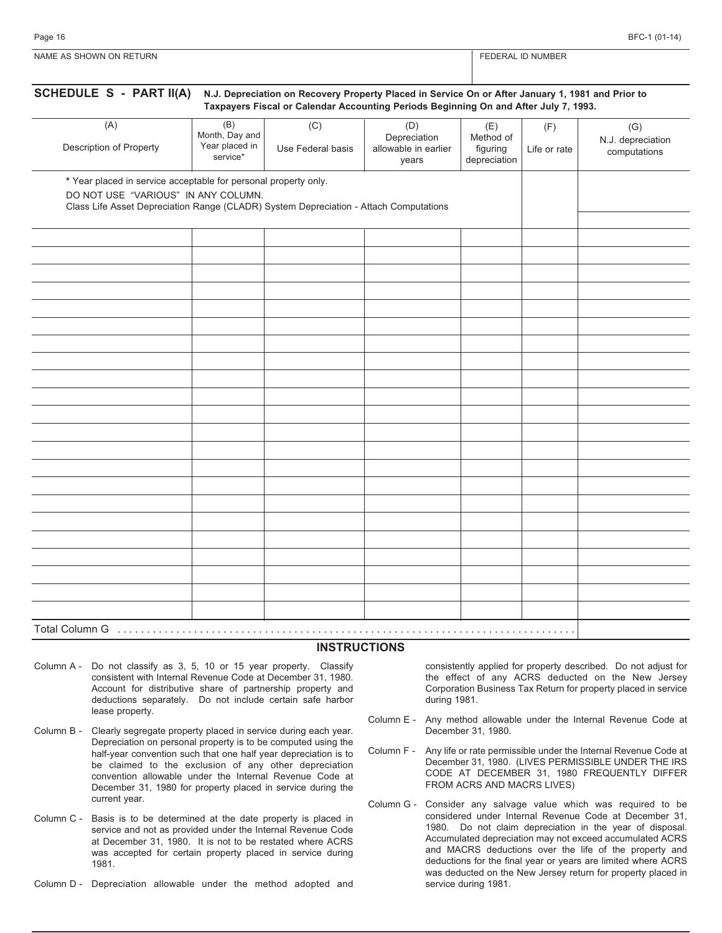| <b>NIAN</b><br>URN <sup>-</sup><br>⊡⊏<br>')N<br><b>JWN</b> | <b>1866</b><br>NH |
|------------------------------------------------------------|-------------------|
|                                                            |                   |

| SCHEDULE S - PART II(A)                                                                                                                                                                         | N.J. Depreciation on Recovery Property Placed in Service On or After January 1, 1981 and Prior to<br>Taxpayers Fiscal or Calendar Accounting Periods Beginning On and After July 7, 1993. |                          |                                                      |                                              |                     |                                          |  |  |  |
|-------------------------------------------------------------------------------------------------------------------------------------------------------------------------------------------------|-------------------------------------------------------------------------------------------------------------------------------------------------------------------------------------------|--------------------------|------------------------------------------------------|----------------------------------------------|---------------------|------------------------------------------|--|--|--|
| (A)<br>Description of Property                                                                                                                                                                  | (B)<br>Month, Day and<br>Year placed in<br>service*                                                                                                                                       | (C)<br>Use Federal basis | (D)<br>Depreciation<br>allowable in earlier<br>years | (E)<br>Method of<br>figuring<br>depreciation | (F)<br>Life or rate | (G)<br>N.J. depreciation<br>computations |  |  |  |
| * Year placed in service acceptable for personal property only.<br>DO NOT USE "VARIOUS" IN ANY COLUMN.<br>Class Life Asset Depreciation Range (CLADR) System Depreciation - Attach Computations |                                                                                                                                                                                           |                          |                                                      |                                              |                     |                                          |  |  |  |
|                                                                                                                                                                                                 |                                                                                                                                                                                           |                          |                                                      |                                              |                     |                                          |  |  |  |
|                                                                                                                                                                                                 |                                                                                                                                                                                           |                          |                                                      |                                              |                     |                                          |  |  |  |
|                                                                                                                                                                                                 |                                                                                                                                                                                           |                          |                                                      |                                              |                     |                                          |  |  |  |
|                                                                                                                                                                                                 |                                                                                                                                                                                           |                          |                                                      |                                              |                     |                                          |  |  |  |
|                                                                                                                                                                                                 |                                                                                                                                                                                           |                          |                                                      |                                              |                     |                                          |  |  |  |
|                                                                                                                                                                                                 |                                                                                                                                                                                           |                          |                                                      |                                              |                     |                                          |  |  |  |
|                                                                                                                                                                                                 |                                                                                                                                                                                           |                          |                                                      |                                              |                     |                                          |  |  |  |
|                                                                                                                                                                                                 |                                                                                                                                                                                           |                          |                                                      |                                              |                     |                                          |  |  |  |
|                                                                                                                                                                                                 |                                                                                                                                                                                           |                          |                                                      |                                              |                     |                                          |  |  |  |
|                                                                                                                                                                                                 |                                                                                                                                                                                           |                          |                                                      |                                              |                     |                                          |  |  |  |
|                                                                                                                                                                                                 |                                                                                                                                                                                           |                          |                                                      |                                              |                     |                                          |  |  |  |
|                                                                                                                                                                                                 |                                                                                                                                                                                           |                          |                                                      |                                              |                     |                                          |  |  |  |
|                                                                                                                                                                                                 |                                                                                                                                                                                           |                          |                                                      |                                              |                     |                                          |  |  |  |

#### **INSTRUCTIONS**

- Column A Do not classify as 3, 5, 10 or 15 year property. Classify consistent with Internal Revenue Code at December 31, 1980. Account for distributive share of partnership property and deductions separately. Do not include certain safe harbor lease property.
- Column B Clearly segregate property placed in service during each year. Depreciation on personal property is to be computed using the half-year convention such that one half year depreciation is to be claimed to the exclusion of any other depreciation convention allowable under the Internal Revenue Code at December 31, 1980 for property placed in service during the current year.
- Column C Basis is to be determined at the date property is placed in service and not as provided under the Internal Revenue Code at December 31, 1980. It is not to be restated where ACRS was accepted for certain property placed in service during 1981.
- Column D Depreciation allowable under the method adopted and

consistently applied for property described. Do not adjust for the effect of any ACRS deducted on the New Jersey Corporation Business Tax Return for property placed in service during 1981.

- Column E Any method allowable under the Internal Revenue Code at December 31, 1980.
- Column F Any life or rate permissible under the Internal Revenue Code at December 31, 1980. (LIVES PERMISSIBLE UNDER THE IRS CODE AT DECEMBER 31, 1980 FREQUENTLY DIFFER FROM ACRS AND MACRS LIVES)
- Column G Consider any salvage value which was required to be considered under Internal Revenue Code at December 31, 1980. Do not claim depreciation in the year of disposal. Accumulated depreciation may not exceed accumulated ACRS and MACRS deductions over the life of the property and deductions for the final year or years are limited where ACRS was deducted on the New Jersey return for property placed in service during 1981.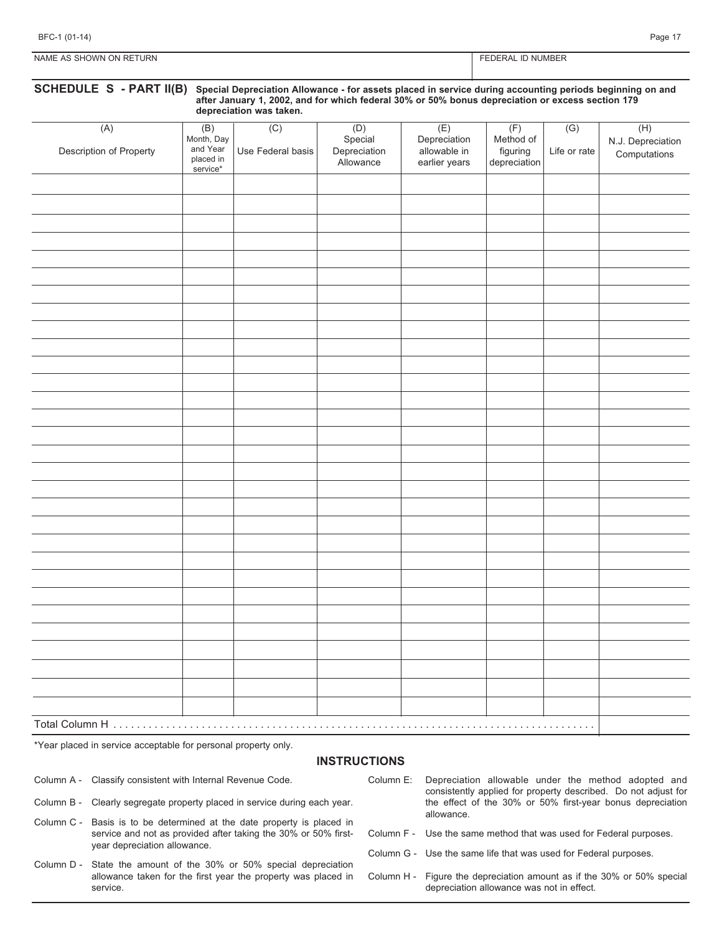| URN<br>NAME<br><b>UWO</b><br>ON RET<br>$\triangle \subseteq$<br>95 м<br>$\sim$ | <b>NUMBEI</b><br>D٨<br>◥◚ |
|--------------------------------------------------------------------------------|---------------------------|

| (A)                     | (B)                                             | depreciation was taken.<br>(C) |                                             | (E)                                           |                                              | (G)          | (H)                               |
|-------------------------|-------------------------------------------------|--------------------------------|---------------------------------------------|-----------------------------------------------|----------------------------------------------|--------------|-----------------------------------|
| Description of Property | Month, Day<br>and Year<br>placed in<br>service* | Use Federal basis              | (D)<br>Special<br>Depreciation<br>Allowance | Depreciation<br>allowable in<br>earlier years | (F)<br>Method of<br>figuring<br>depreciation | Life or rate | N.J. Depreciation<br>Computations |
|                         |                                                 |                                |                                             |                                               |                                              |              |                                   |
|                         |                                                 |                                |                                             |                                               |                                              |              |                                   |
|                         |                                                 |                                |                                             |                                               |                                              |              |                                   |
|                         |                                                 |                                |                                             |                                               |                                              |              |                                   |
|                         |                                                 |                                |                                             |                                               |                                              |              |                                   |
|                         |                                                 |                                |                                             |                                               |                                              |              |                                   |
|                         |                                                 |                                |                                             |                                               |                                              |              |                                   |
|                         |                                                 |                                |                                             |                                               |                                              |              |                                   |
|                         |                                                 |                                |                                             |                                               |                                              |              |                                   |
|                         |                                                 |                                |                                             |                                               |                                              |              |                                   |
|                         |                                                 |                                |                                             |                                               |                                              |              |                                   |
|                         |                                                 |                                |                                             |                                               |                                              |              |                                   |
|                         |                                                 |                                |                                             |                                               |                                              |              |                                   |
|                         |                                                 |                                |                                             |                                               |                                              |              |                                   |
|                         |                                                 |                                |                                             |                                               |                                              |              |                                   |
|                         |                                                 |                                |                                             |                                               |                                              |              |                                   |
|                         |                                                 |                                |                                             |                                               |                                              |              |                                   |
|                         |                                                 |                                |                                             |                                               |                                              |              |                                   |
|                         |                                                 |                                |                                             |                                               |                                              |              |                                   |
|                         |                                                 |                                |                                             |                                               |                                              |              |                                   |
|                         |                                                 |                                |                                             |                                               |                                              |              |                                   |
|                         |                                                 |                                |                                             |                                               |                                              |              |                                   |
|                         |                                                 |                                |                                             |                                               |                                              |              |                                   |
|                         |                                                 |                                |                                             |                                               |                                              |              |                                   |
|                         |                                                 |                                |                                             |                                               |                                              |              |                                   |
|                         |                                                 |                                |                                             |                                               |                                              |              |                                   |
|                         |                                                 |                                |                                             |                                               |                                              |              |                                   |
|                         |                                                 |                                |                                             |                                               |                                              |              |                                   |

#### **INSTRUCTIONS**

Column A - Classify consistent with Internal Revenue Code.

- Column B Clearly segregate property placed in service during each year.
- Column C Basis is to be determined at the date property is placed in service and not as provided after taking the 30% or 50% firstyear depreciation allowance.
- Column D State the amount of the 30% or 50% special depreciation allowance taken for the first year the property was placed in service.
- Column E: Depreciation allowable under the method adopted and consistently applied for property described. Do not adjust for the effect of the 30% or 50% first-year bonus depreciation allowance.
- Column F Use the same method that was used for Federal purposes.
- Column G Use the same life that was used for Federal purposes.
- Column H Figure the depreciation amount as if the 30% or 50% special depreciation allowance was not in effect.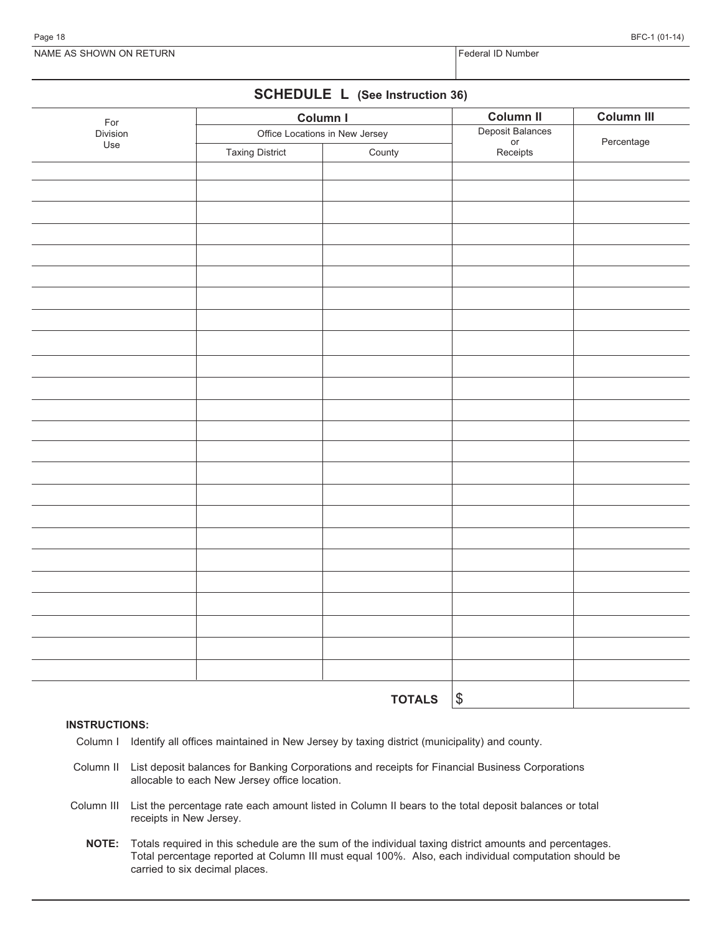NAME AS SHOWN ON RETURN FEDERAL STATES AND RESERVE THE STATE OF STATES AND RETURN FEDERAL ID Number

# **SCHEDULE L (See Instruction 36)**

| For             |                                | Column I      | <b>Column II</b>                   | Column III |
|-----------------|--------------------------------|---------------|------------------------------------|------------|
| Division<br>Use | Office Locations in New Jersey |               | Deposit Balances<br>or<br>Receipts | Percentage |
|                 | <b>Taxing District</b>         | County        |                                    |            |
|                 |                                |               |                                    |            |
|                 |                                |               |                                    |            |
|                 |                                |               |                                    |            |
|                 |                                |               |                                    |            |
|                 |                                |               |                                    |            |
|                 |                                |               |                                    |            |
|                 |                                |               |                                    |            |
|                 |                                |               |                                    |            |
|                 |                                |               |                                    |            |
|                 |                                |               |                                    |            |
|                 |                                |               |                                    |            |
|                 |                                |               |                                    |            |
|                 |                                |               |                                    |            |
|                 |                                |               |                                    |            |
|                 |                                |               |                                    |            |
|                 |                                |               |                                    |            |
|                 |                                |               |                                    |            |
|                 |                                |               |                                    |            |
|                 |                                |               |                                    |            |
|                 |                                |               |                                    |            |
|                 |                                |               |                                    |            |
|                 |                                |               |                                    |            |
|                 |                                |               |                                    |            |
|                 |                                |               |                                    |            |
|                 |                                |               |                                    |            |
|                 |                                |               |                                    |            |
|                 |                                |               |                                    |            |
|                 |                                |               |                                    |            |
|                 |                                | <b>TOTALS</b> | $\sqrt{3}$                         |            |

#### **INSTRUCTIONS:**

- Column I Identify all offices maintained in New Jersey by taxing district (municipality) and county.
- Column II List deposit balances for Banking Corporations and receipts for Financial Business Corporations allocable to each New Jersey office location.
- Column III List the percentage rate each amount listed in Column II bears to the total deposit balances or total receipts in New Jersey.
	- **NOTE:** Totals required in this schedule are the sum of the individual taxing district amounts and percentages. Total percentage reported at Column III must equal 100%. Also, each individual computation should be carried to six decimal places.